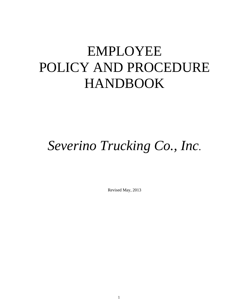# EMPLOYEE POLICY AND PROCEDURE HANDBOOK

# *Severino Trucking Co., Inc.*

Revised May, 2013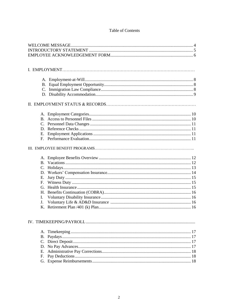## Table of Contents

| Е. |  |
|----|--|
|    |  |
|    |  |
|    |  |
|    |  |
| Ι. |  |
| J. |  |
|    |  |
|    |  |
|    |  |
|    |  |
|    |  |
|    |  |
|    |  |
|    |  |
| D. |  |
|    |  |
| Ε. |  |
| F. |  |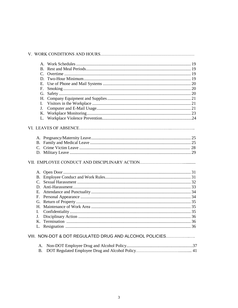| I.                                                      |  |
|---------------------------------------------------------|--|
| J.                                                      |  |
|                                                         |  |
|                                                         |  |
|                                                         |  |
|                                                         |  |
|                                                         |  |
|                                                         |  |
|                                                         |  |
|                                                         |  |
|                                                         |  |
|                                                         |  |
|                                                         |  |
|                                                         |  |
|                                                         |  |
|                                                         |  |
|                                                         |  |
|                                                         |  |
|                                                         |  |
| I.                                                      |  |
| J.                                                      |  |
|                                                         |  |
|                                                         |  |
| VIII. NON-DOT & DOT REGULATED DRUG AND ALCOHOL POLICIES |  |
| A.                                                      |  |
| Β.                                                      |  |
|                                                         |  |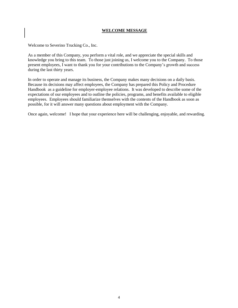#### **WELCOME MESSAGE**

Welcome to Severino Trucking Co., Inc.

As a member of this Company, you perform a vital role, and we appreciate the special skills and knowledge you bring to this team. To those just joining us, I welcome you to the Company. To those present employees, I want to thank you for your contributions to the Company's growth and success during the last thirty years.

In order to operate and manage its business, the Company makes many decisions on a daily basis. Because its decisions may affect employees, the Company has prepared this Policy and Procedure Handbook as a guideline for employer-employee relations. It was developed to describe some of the expectations of our employees and to outline the policies, programs, and benefits available to eligible employees. Employees should familiarize themselves with the contents of the Handbook as soon as possible, for it will answer many questions about employment with the Company.

Once again, welcome! I hope that your experience here will be challenging, enjoyable, and rewarding.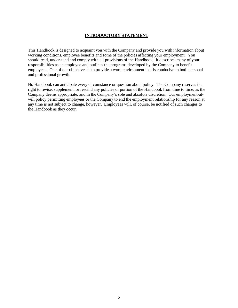## **INTRODUCTORY STATEMENT**

This Handbook is designed to acquaint you with the Company and provide you with information about working conditions, employee benefits and some of the policies affecting your employment. You should read, understand and comply with all provisions of the Handbook. It describes many of your responsibilities as an employee and outlines the programs developed by the Company to benefit employees. One of our objectives is to provide a work environment that is conducive to both personal and professional growth.

No Handbook can anticipate every circumstance or question about policy. The Company reserves the right to revise, supplement, or rescind any policies or portion of the Handbook from time to time, as the Company deems appropriate, and in the Company's sole and absolute discretion. Our employment-atwill policy permitting employees or the Company to end the employment relationship for any reason at any time is not subject to change, however. Employees will, of course, be notified of such changes to the Handbook as they occur.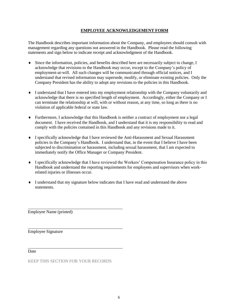## **EMPLOYEE ACKNOWLEDGEMENT FORM**

The Handbook describes important information about the Company, and employees should consult with management regarding any questions not answered in the Handbook. Please read the following statements and sign below to indicate receipt and acknowledgment of the Handbook.

- Since the information, policies, and benefits described here are necessarily subject to change, I acknowledge that revisions to the Handbook may occur, except to the Company's policy of employment-at-will. All such changes will be communicated through official notices, and I understand that revised information may supersede, modify, or eliminate existing policies. Only the Company President has the ability to adopt any revisions to the policies in this Handbook.
- I understand that I have entered into my employment relationship with the Company voluntarily and acknowledge that there is no specified length of employment. Accordingly, either the Company or I can terminate the relationship at will, with or without reason, at any time, so long as there is no violation of applicable federal or state law.
- Furthermore, I acknowledge that this Handbook is neither a contract of employment nor a legal document. I have received the Handbook, and I understand that it is my responsibility to read and comply with the policies contained in this Handbook and any revisions made to it.
- I specifically acknowledge that I have reviewed the Anti-Harassment and Sexual Harassment policies in the Company's Handbook. I understand that, in the event that I believe I have been subjected to discrimination or harassment, including sexual harassment, that I am expected to immediately notify the Office Manager or Company President.
- I specifically acknowledge that I have reviewed the Workers' Compensation Insurance policy in this Handbook and understand the reporting requirements for employees and supervisors when workrelated injuries or illnesses occur.
- I understand that my signature below indicates that I have read and understand the above statements.

Employee Name (printed)

Employee Signature

**Date** 

KEEP THIS SECTION FOR YOUR RECORDS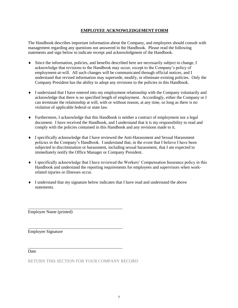## **EMPLOYEE ACKNOWLEDGEMENT FORM**

The Handbook describes important information about the Company, and employees should consult with management regarding any questions not answered in the Handbook. Please read the following statements and sign below to indicate receipt and acknowledgment of the Handbook.

- Since the information, policies, and benefits described here are necessarily subject to change, I acknowledge that revisions to the Handbook may occur, except to the Company's policy of employment-at-will. All such changes will be communicated through official notices, and I understand that revised information may supersede, modify, or eliminate existing policies. Only the Company President has the ability to adopt any revisions to the policies in this Handbook.
- I understand that I have entered into my employment relationship with the Company voluntarily and acknowledge that there is no specified length of employment. Accordingly, either the Company or I can terminate the relationship at will, with or without reason, at any time, so long as there is no violation of applicable federal or state law.
- Furthermore, I acknowledge that this Handbook is neither a contract of employment nor a legal document. I have received the Handbook, and I understand that it is my responsibility to read and comply with the policies contained in this Handbook and any revisions made to it.
- I specifically acknowledge that I have reviewed the Anti-Harassment and Sexual Harassment policies in the Company's Handbook. I understand that, in the event that I believe I have been subjected to discrimination or harassment, including sexual harassment, that I am expected to immediately notify the Office Manager or Company President.
- I specifically acknowledge that I have reviewed the Workers' Compensation Insurance policy in this Handbook and understand the reporting requirements for employees and supervisors when workrelated injuries or illnesses occur.
- I understand that my signature below indicates that I have read and understand the above statements.

Employee Name (printed)

Employee Signature

**Date** 

RETURN THIS SECTION FOR YOUR COMPANY RECORD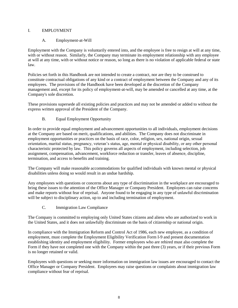## I. EMPLOYMENT

## A. Employment-at-Will

Employment with the Company is voluntarily entered into, and the employee is free to resign at will at any time, with or without reason. Similarly, the Company may terminate its employment relationship with any employee at will at any time, with or without notice or reason, so long as there is no violation of applicable federal or state law.

Policies set forth in this Handbook are not intended to create a contract, nor are they to be construed to constitute contractual obligations of any kind or a contract of employment between the Company and any of its employees. The provisions of the Handbook have been developed at the discretion of the Company management and, except for its policy of employment-at-will, may be amended or cancelled at any time, at the Company's sole discretion.

These provisions supersede all existing policies and practices and may not be amended or added to without the express written approval of the President of the Company.

## B. Equal Employment Opportunity

In order to provide equal employment and advancement opportunities to all individuals, employment decisions at the Company are based on merit, qualifications, and abilities. The Company does not discriminate in employment opportunities or practices on the basis of race, color, religion, sex, national origin, sexual orientation, marital status, pregnancy, veteran's status, age, mental or physical disability, or any other personal characteristic protected by law. This policy governs all aspects of employment, including selection, job assignment, compensation, advancement, workforce reduction or transfer, leaves of absence, discipline, termination, and access to benefits and training.

The Company will make reasonable accommodations for qualified individuals with known mental or physical disabilities unless doing so would result in an undue hardship.

Any employees with questions or concerns about any type of discrimination in the workplace are encouraged to bring these issues to the attention of the Office Manager or Company President. Employees can raise concerns and make reports without fear of reprisal. Anyone found to be engaging in any type of unlawful discrimination will be subject to disciplinary action, up to and including termination of employment.

C. Immigration Law Compliance

The Company is committed to employing only United States citizens and aliens who are authorized to work in the United States, and it does not unlawfully discriminate on the basis of citizenship or national origin.

In compliance with the Immigration Reform and Control Act of 1986, each new employee, as a condition of employment, must complete the Employment Eligibility Verification Form I-9 and present documentation establishing identity and employment eligibility. Former employees who are rehired must also complete the Form if they have not completed one with the Company within the past three (3) years, or if their previous Form is no longer retained or valid.

Employees with questions or seeking more information on immigration law issues are encouraged to contact the Office Manager or Company President. Employees may raise questions or complaints about immigration law compliance without fear of reprisal.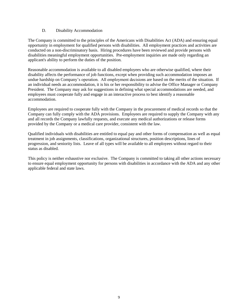## D. Disability Accommodation

The Company is committed to the principles of the Americans with Disabilities Act (ADA) and ensuring equal opportunity in employment for qualified persons with disabilities. All employment practices and activities are conducted on a non-discriminatory basis. Hiring procedures have been reviewed and provide persons with disabilities meaningful employment opportunities. Pre-employment inquiries are made only regarding an applicant's ability to perform the duties of the position.

Reasonable accommodation is available to all disabled employees who are otherwise qualified, where their disability affects the performance of job functions, except when providing such accommodation imposes an undue hardship on Company's operation. All employment decisions are based on the merits of the situation. If an individual needs an accommodation, it is his or her responsibility to advise the Office Manager or Company President. The Company may ask for suggestions in defining what special accommodations are needed, and employees must cooperate fully and engage in an interactive process to best identify a reasonable accommodation.

Employees are required to cooperate fully with the Company in the procurement of medical records so that the Company can fully comply with the ADA provisions. Employees are required to supply the Company with any and all records the Company lawfully requests, and execute any medical authorizations or release forms provided by the Company or a medical care provider, consistent with the law.

Qualified individuals with disabilities are entitled to equal pay and other forms of compensation as well as equal treatment in job assignments, classifications, organizational structures, position descriptions, lines of progression, and seniority lists. Leave of all types will be available to all employees without regard to their status as disabled.

This policy is neither exhaustive nor exclusive. The Company is committed to taking all other actions necessary to ensure equal employment opportunity for persons with disabilities in accordance with the ADA and any other applicable federal and state laws.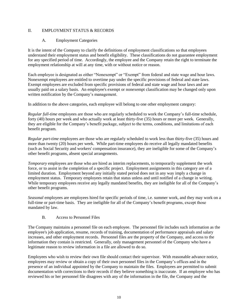## II. EMPLOYMENT STATUS & RECORDS

## A. Employment Categories

It is the intent of the Company to clarify the definitions of employment classifications so that employees understand their employment status and benefit eligibility. These classifications do not guarantee employment for any specified period of time. Accordingly, the employee and the Company retain the right to terminate the employment relationship at will at any time, with or without notice or reason.

Each employee is designated as either "Nonexempt" or "Exempt" from federal and state wage and hour laws. Nonexempt employees are entitled to overtime pay under the specific provisions of federal and state laws. Exempt employees are excluded from specific provisions of federal and state wage and hour laws and are usually paid on a salary basis. An employee's exempt or nonexempt classification may be changed only upon written notification by the Company's management.

In addition to the above categories, each employee will belong to one other employment category:

*Regular full-time* employees are those who are regularly scheduled to work the Company's full-time schedule, forty (40) hours per week and who actually work at least thirty-five (35) hours or more per week. Generally, they are eligible for the Company's benefit package, subject to the terms, conditions, and limitations of each benefit program.

*Regular part-time* employees are those who are regularly scheduled to work less than thirty-five (35) hours and more than twenty (20) hours per week. While part-time employees do receive all legally mandated benefits (such as Social Security and workers' compensation insurance), they are ineligible for some of the Company's other benefit programs, absent special arrangements.

*Temporary* employees are those who are hired as interim replacements, to temporarily supplement the work force, or to assist in the completion of a specific project. Employment assignments in this category are of a limited duration. Employment beyond any initially stated period does not in any way imply a change in employment status. Temporary employees retain that status unless and until notified of a change in writing. While temporary employees receive any legally mandated benefits, they are ineligible for all of the Company's other benefit programs.

*Seasonal* employees are employees hired for specific periods of time, i.e. summer work, and they may work on a full-time or part-time basis. They are ineligible for all of the Company's benefit programs, except those mandated by law.

## B. Access to Personnel Files

The Company maintains a personnel file on each employee. The personnel file includes such information as the employee's job application, resume, records of training, documentation of performance appraisals and salary increases, and other employment records. Personnel files are the property of the Company, and access to the information they contain is restricted. Generally, only management personnel of the Company who have a legitimate reason to review information in a file are allowed to do so.

Employees who wish to review their own file should contact their supervisor. With reasonable advance notice, employees may review or obtain a copy of their own personnel files in the Company's offices and in the presence of an individual appointed by the Company to maintain the files. Employees are permitted to submit documentation with corrections to their records if they believe something is inaccurate. If an employee who has reviewed his or her personnel file disagrees with any of the information in the file, the Company and the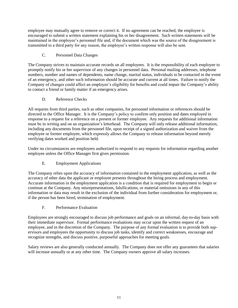employee may mutually agree to remove or correct it. If no agreement can be reached, the employee is encouraged to submit a written statement explaining his or her disagreement. Such written statements will be maintained in the employee's personnel file and, if the document which was the source of the disagreement is transmitted to a third party for any reason, the employee's written response will also be sent.

# C. Personnel Data Changes

The Company strives to maintain accurate records on all employees. It is the responsibility of each employee to promptly notify his or her supervisor of any changes in personnel data. Personal mailing addresses, telephone numbers, number and names of dependents, name change, marital status, individuals to be contacted in the event of an emergency, and other such information should be accurate and current at all times. Failure to notify the Company of changes could affect an employee's eligibility for benefits and could impair the Company's ability to contact a friend or family matter if an emergency arises.

# D. Reference Checks

All requests from third parties, such as other companies, for personnel information or references should be directed to the Office Manager. It is the Company's policy to confirm only position and dates employed in response to a request for a reference on a present or former employee. Any requests for additional information must be in writing and on an organization's letterhead. The Company will only release additional information, including any documents from the personnel file, upon receipt of a signed authorization and waiver from the employee or former employee, which expressly allows the Company to release information beyond merely verifying dates worked and position held.

Under no circumstances are employees authorized to respond to any requests for information regarding another employee unless the Office Manager first gives permission.

# E. Employment Applications

The Company relies upon the accuracy of information contained in the employment application, as well as the accuracy of other data the applicant or employee presents throughout the hiring process and employment. Accurate information in the employment application is a condition that is required for employment to begin or continue at the Company. Any misrepresentations, falsifications, or material omissions in any of this information or data may result in the exclusion of the individual from further consideration for employment or, if the person has been hired, termination of employment.

# F. Performance Evaluation

Employees are strongly encouraged to discuss job performance and goals on an informal, day-to-day basis with their immediate supervisor. Formal performance evaluations may occur upon the written request of an employee, and in the discretion of the Company. The purpose of any formal evaluation is to provide both supervisors and employees the opportunity to discuss job tasks, identify and correct weaknesses, encourage and recognize strengths, and discuss positive, purposeful approaches for meeting goals.

Salary reviews are also generally conducted annually. The Company does not offer any guarantees that salaries will increase annually or at any other time. The Company owners approve all salary increases.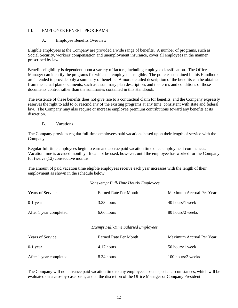## III. EMPLOYEE BENEFIT PROGRAMS

## A. Employee Benefits Overview

Eligible employees at the Company are provided a wide range of benefits. A number of programs, such as Social Security, workers' compensation and unemployment insurance, cover all employees in the manner prescribed by law.

Benefits eligibility is dependent upon a variety of factors, including employee classification. The Office Manager can identify the programs for which an employee is eligible. The policies contained in this Handbook are intended to provide only a summary of benefits. A more detailed description of the benefits can be obtained from the actual plan documents, such as a summary plan description, and the terms and conditions of those documents control rather than the summaries contained in this Handbook.

The existence of these benefits does not give rise to a contractual claim for benefits, and the Company expressly reserves the right to add to or rescind any of the existing programs at any time, consistent with state and federal law. The Company may also require or increase employee premium contributions toward any benefits at its discretion.

B. Vacations

The Company provides regular full-time employees paid vacations based upon their length of service with the Company.

Regular full-time employees begin to earn and accrue paid vacation time once employment commences. Vacation time is accrued monthly. It cannot be used, however, until the employee has worked for the Company for twelve (12) consecutive months.

The amount of paid vacation time eligible employees receive each year increases with the length of their employment as shown in the schedule below.

#### *Nonexempt Full-Time Hourly Employees*

| Years of Service        | <b>Earned Rate Per Month</b>               | Maximum Accrual Per Year |
|-------------------------|--------------------------------------------|--------------------------|
| $0-1$ year              | 3.33 hours                                 | 40 hours/1 week          |
| After 1 year completed  | $6.66$ hours                               | 80 hours/2 weeks         |
|                         | <b>Exempt Full-Time Salaried Employees</b> |                          |
| <b>Years of Service</b> | Earned Rate Per Month                      | Maximum Accrual Per Year |
| $0-1$ year              | 4.17 hours                                 | 50 hours/1 week          |
| After 1 year completed  | 8.34 hours                                 | 100 hours/2 weeks        |

The Company will not advance paid vacation time to any employee, absent special circumstances, which will be evaluated on a case-by-case basis, and at the discretion of the Office Manager or Company President.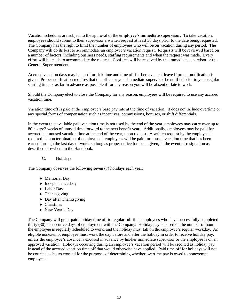Vacation schedules are subject to the approval of the **employee's immediate supervisor**. To take vacation, employees should submit to their supervisor a written request at least 30 days prior to the date being requested. The Company has the right to limit the number of employees who will be on vacation during any period. The Company will do its best to accommodate an employee's vacation request. Requests will be reviewed based on a number of factors, including business needs, staffing requirements and when the request was made. Every effort will be made to accommodate the request. Conflicts will be resolved by the immediate supervisor or the General Superintendent.

Accrued vacation days may be used for sick time and time off for bereavement leave if proper notification is given. Proper notification requires that the office or your immediate supervisor be notified prior to your regular starting time or as far in advance as possible if for any reason you will be absent or late to work.

Should the Company elect to close the Company for any reason, employees will be required to use any accrued vacation time.

Vacation time off is paid at the employee's base pay rate at the time of vacation. It does not include overtime or any special forms of compensation such as incentives, commissions, bonuses, or shift differentials.

In the event that available paid vacation time is not used by the end of the year, employees may carry over up to 80 hours/2 weeks of unused time forward to the next benefit year. Additionally, employees may be paid for accrued but unused vacation time at the end of the year, upon request. A written request by the employee is required. Upon termination of employment, employees will be paid for unused vacation time that has been earned through the last day of work, so long as proper notice has been given, in the event of resignation as described elsewhere in the Handbook.

#### C. Holidays

The Company observes the following seven (7) holidays each year:

- ◆ Memorial Day
- ◆ Independence Day
- Labor Day
- $\triangleleft$  Thanksgiving
- Day after Thanksgiving
- ◆ Christmas
- ◆ New Year's Day

The Company will grant paid holiday time off to regular full-time employees who have successfully completed thirty (30) consecutive days of employment with the Company. Holiday pay is based on the number of hours the employee is regularly scheduled to work, and the holiday must fall on the employee's regular workday. An eligible nonexempt employee must work the day before and after the holiday in order to receive holiday pay, unless the employee's absence is excused in advance by his/her immediate supervisor or the employee is on an approved vacation. Holidays occurring during an employee's vacation period will be credited as holiday pay instead of the accrued vacation time off that would otherwise have applied. Paid time off for holidays will not be counted as hours worked for the purposes of determining whether overtime pay is owed to nonexempt employees.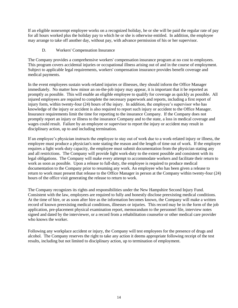If an eligible nonexempt employee works on a recognized holiday, he or she will be paid the regular rate of pay for all hours worked plus the holiday pay to which he or she is otherwise entitled. In addition, the employee may arrange to take off another day, without pay, with advance permission of his or her supervisor.

D. Workers' Compensation Insurance

The Company provides a comprehensive workers' compensation insurance program at no cost to employees. This program covers accidental injuries or occupational illness arising out of and in the course of employment. Subject to applicable legal requirements, workers' compensation insurance provides benefit coverage and medical payments.

In the event employees sustain work-related injuries or illnesses, they should inform the Office Manager immediately. No matter how minor an on-the-job injury may appear, it is important that it be reported as promptly as possible. This will enable an eligible employee to qualify for coverage as quickly as possible. All injured employees are required to complete the necessary paperwork and reports, including a first report of injury form, within twenty-four (24) hours of the injury. In addition, the employee's supervisor who has knowledge of the injury or accident is also required to report such injury or accident to the Office Manager. Insurance requirements limit the time for reporting to the insurance Company. If the Company does not promptly report an injury or illness to the insurance Company and to the state, a loss in medical coverage and wages could result. Failure by an employee or supervisor to report the injury or accident may result in disciplinary action, up to and including termination.

If an employee's physician instructs the employee to stay out of work due to a work-related injury or illness, the employee must produce a physician's note stating the reason and the length of time out of work. If the employee requires a light work-duty capacity, the employee must submit documentation from the physician stating any and all restrictions. The Company will provide light work-duty to the extent possible and consistent with its legal obligations. The Company will make every attempt to accommodate workers and facilitate their return to work as soon as possible. Upon a release to full-duty, the employee is required to produce medical documentation to the Company prior to resuming any work. An employee who has been given a release to return to work must present that release to the Office Manager in person at the Company within twenty-four (24) hours of the office visit generating the release to return to work.

The Company recognizes its rights and responsibilities under the New Hampshire Second Injury Fund. Consistent with the law, employees are required to fully and honestly disclose preexisting medical conditions. At the time of hire, or as soon after hire as the information becomes known, the Company will make a written record of known preexisting medical conditions, illnesses or injuries. This record may be in the form of the job application, pre-placement physical examination report, memorandum to the personnel file, interview notes signed and dated by the interviewer, or a record from a rehabilitation counselor or other medical care provider who knows the worker.

Following any workplace accident or injury, the Company will test employees for the presence of drugs and alcohol. The Company reserves the right to take any action it deems appropriate following receipt of the test results, including but not limited to disciplinary action, up to termination of employment.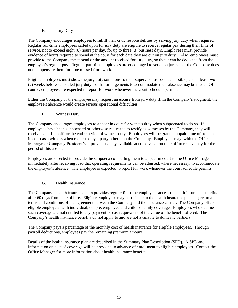# E. Jury Duty

The Company encourages employees to fulfill their civic responsibilities by serving jury duty when required. Regular full-time employees called upon for jury duty are eligible to receive regular pay during their time of service, not to exceed eight (8) hours per day, for up to three (3) business days. Employees must provide evidence of hours required to spend at the court for each date they are out on jury duty. Also, employees must provide to the Company the stipend or the amount received for jury duty, so that it can be deducted from the employee's regular pay. Regular part-time employees are encouraged to serve on juries, but the Company does not compensate them for time missed from work.

Eligible employees must show the jury duty summons to their supervisor as soon as possible, and at least two (2) weeks before scheduled jury duty, so that arrangements to accommodate their absence may be made. Of course, employees are expected to report for work whenever the court schedule permits.

Either the Company or the employee may request an excuse from jury duty if, in the Company's judgment, the employee's absence would create serious operational difficulties.

## F. Witness Duty

The Company encourages employees to appear in court for witness duty when subpoenaed to do so. If employees have been subpoenaed or otherwise requested to testify as witnesses by the Company, they will receive paid time off for the entire period of witness duty. Employees will be granted unpaid time off to appear in court as a witness when requested by a party other than the Company. Employees may, with the Office Manager or Company President's approval, use any available accrued vacation time off to receive pay for the period of this absence.

Employees are directed to provide the subpoena compelling them to appear in court to the Office Manager immediately after receiving it so that operating requirements can be adjusted, where necessary, to accommodate the employee's absence. The employee is expected to report for work whenever the court schedule permits.

# G. Health Insurance

The Company's health insurance plan provides regular full-time employees access to health insurance benefits after 60 days from date of hire. Eligible employees may participate in the health insurance plan subject to all terms and conditions of the agreement between the Company and the insurance carrier. The Company offers eligible employees with individual, couple, employee and child or family coverage. Employees who decline such coverage are not entitled to any payment or cash equivalent of the value of the benefit offered. The Company's health insurance benefits do not apply to and are not available to domestic partners.

The Company pays a percentage of the monthly cost of health insurance for eligible employees. Through payroll deductions, employees pay the remaining premium amount.

Details of the health insurance plan are described in the Summary Plan Description (SPD). A SPD and information on cost of coverage will be provided in advance of enrollment to eligible employees. Contact the Office Manager for more information about health insurance benefits.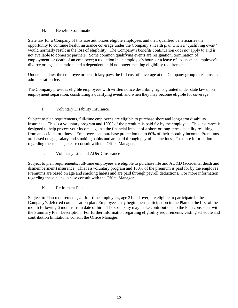## H. Benefits Continuation

State law for a Company of this size authorizes eligible employees and their qualified beneficiaries the opportunity to continue health insurance coverage under the Company's health plan when a "qualifying event" would normally result in the loss of eligibility. The Company's benefits continuation does not apply to and is not available to domestic partners. Some common qualifying events are resignation, termination of employment, or death of an employee; a reduction in an employee's hours or a leave of absence; an employee's divorce or legal separation; and a dependent child no longer meeting eligibility requirements.

Under state law, the employee or beneficiary pays the full cost of coverage at the Company group rates plus an administration fee.

The Company provides eligible employees with written notice describing rights granted under state law upon employment separation, constituting a qualifying event, and when they may become eligible for coverage.

# I. Voluntary Disability Insurance

Subject to plan requirements, full-time employees are eligible to purchase short and long-term disability insurance. This is a voluntary program and 100% of the premium is paid for by the employee. This insurance is designed to help protect your income against the financial impact of a short or long-term disability resulting from an accident or illness. Employees can purchase protection up to 60% of their monthly income. Premiums are based on age, salary and smoking habits and are paid through payroll deductions. For more information regarding these plans, please consult with the Office Manager.

J. Voluntary Life and AD&D Insurance

Subject to plan requirements, full-time employees are eligible to purchase life and AD&D (accidental death and dismemberment) insurance. This is a voluntary program and 100% of the premium is paid for by the employee. Premiums are based on age and smoking habits and are paid through payroll deductions. For more information regarding these plans, please consult with the Office Manager.

## K. Retirement Plan

Subject to Plan requirements, all full-time employees, age 21 and over, are eligible to participate in the Company's deferred compensation plan. Employees may begin their participation in the Plan on the first of the month following 6 months from date of hire. The Company may make contributions to the Plan consistent with the Summary Plan Description. For further information regarding eligibility requirements, vesting schedule and contribution limitations, consult the Office Manager.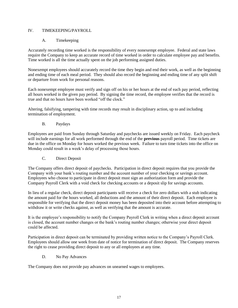## IV. TIMEKEEPING/PAYROLL

## A. Timekeeping

Accurately recording time worked is the responsibility of every nonexempt employee. Federal and state laws require the Company to keep an accurate record of time worked in order to calculate employee pay and benefits. Time worked is all the time actually spent on the job performing assigned duties.

Nonexempt employees should accurately record the time they begin and end their work, as well as the beginning and ending time of each meal period. They should also record the beginning and ending time of any split shift or departure from work for personal reasons.

Each nonexempt employee must verify and sign off on his or her hours at the end of each pay period, reflecting all hours worked in the given pay period. By signing the time record, the employee verifies that the record is true and that no hours have been worked "off the clock."

Altering, falsifying, tampering with time records may result in disciplinary action, up to and including termination of employment.

B. Paydays

Employees are paid from Sunday through Saturday and paychecks are issued weekly on Friday. Each paycheck will include earnings for all work performed through the end of the **previous** payroll period. Time tickets are due in the office on Monday for hours worked the previous week. Failure to turn time tickets into the office on Monday could result in a week's delay of processing those hours.

C. Direct Deposit

The Company offers direct deposit of paychecks. Participation in direct deposit requires that you provide the Company with your bank's routing number and the account number of your checking or savings account. Employees who choose to participate in direct deposit must sign an authorization form and provide the Company Payroll Clerk with a void check for checking accounts or a deposit slip for savings accounts.

In lieu of a regular check, direct deposit participants will receive a check for zero dollars with a stub indicating the amount paid for the hours worked, all deductions and the amount of their direct deposit. Each employee is responsible for verifying that the direct deposit money has been deposited into their account before attempting to withdraw it or write checks against, as well as verifying that the amount is accurate.

It is the employee's responsibility to notify the Company Payroll Clerk in writing when a direct deposit account is closed, the account number changes or the bank's routing number changes; otherwise your direct deposit could be affected.

Participation in direct deposit can be terminated by providing written notice to the Company's Payroll Clerk. Employees should allow one week from date of notice for termination of direct deposit. The Company reserves the right to cease providing direct deposit to any or all employees at any time.

D. No Pay Advances

The Company does not provide pay advances on unearned wages to employees.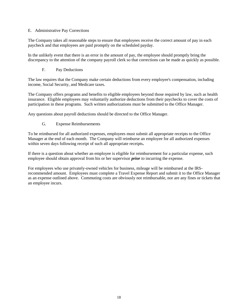#### E. Administrative Pay Corrections

The Company takes all reasonable steps to ensure that employees receive the correct amount of pay in each paycheck and that employees are paid promptly on the scheduled payday.

In the unlikely event that there is an error in the amount of pay, the employee should promptly bring the discrepancy to the attention of the company payroll clerk so that corrections can be made as quickly as possible.

F. Pay Deductions

The law requires that the Company make certain deductions from every employee's compensation, including income, Social Security, and Medicare taxes.

The Company offers programs and benefits to eligible employees beyond those required by law, such as health insurance. Eligible employees may voluntarily authorize deductions from their paychecks to cover the costs of participation in these programs. Such written authorizations must be submitted to the Office Manager.

Any questions about payroll deductions should be directed to the Office Manager.

G. Expense Reimbursements

To be reimbursed for all authorized expenses, employees must submit all appropriate receipts to the Office Manager at the end of each month. The Company will reimburse an employee for all authorized expenses within seven days following receipt of such all appropriate receipts**.**

If there is a question about whether an employee is eligible for reimbursement for a particular expense, such employee should obtain approval from his or her supervisor *prior to* incurring the expense.

For employees who use privately-owned vehicles for business, mileage will be reimbursed at the IRSrecommended amount. Employees must complete a Travel Expense Report and submit it to the Office Manager as an expense outlined above. Commuting costs are obviously not reimbursable, nor are any fines or tickets that an employee incurs.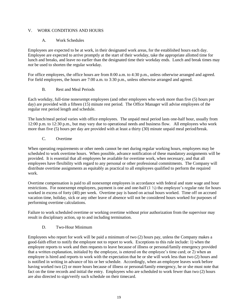## V. WORK CONDITIONS AND HOURS

## A. Work Schedules

Employees are expected to be at work, in their designated work areas, for the established hours each day. Employee are expected to arrive promptly at the start of their workday, take the appropriate allotted time for lunch and breaks, and leave no earlier than the designated time their workday ends. Lunch and break times may *not* be used to shorten the regular workday.

For office employees, the office hours are from 8:00 a.m. to 4:30 p.m., unless otherwise arranged and agreed. For field employees, the hours are 7:00 a.m. to 3:30 p.m., unless otherwise arranged and agreed.

## B. Rest and Meal Periods

Each workday, full-time nonexempt employees (and other employees who work more than five (5) hours per day) are provided with a fifteen (15) minute rest period. The Office Manager will advise employees of the regular rest period length and schedule.

The lunch/meal period varies with office employees. The unpaid meal period lasts one-half hour, usually from 12:00 p.m. to 12:30 p.m., but may vary due to operational needs and business flow. All employees who work more than five (5) hours per day are provided with at least a thirty (30) minute unpaid meal period/break.

## C. Overtime

When operating requirements or other needs cannot be met during regular working hours, employees may be scheduled to work overtime hours. When possible, advance notification of these mandatory assignments will be provided. It is essential that all employees be available for overtime work, when necessary, and that all employees have flexibility with regard to any personal or other professional commitments. The Company will distribute overtime assignments as equitably as practical to all employees qualified to perform the required work.

Overtime compensation is paid to all nonexempt employees in accordance with federal and state wage and hour restrictions. For nonexempt employees, payment is one and one-half (1 ½) the employee's regular rate for hours worked in excess of forty (40) per week. Overtime pay is based on actual hours worked. Time off on accrued vacation time, holiday, sick or any other leave of absence will not be considered hours worked for purposes of performing overtime calculations.

Failure to work scheduled overtime or working overtime without prior authorization from the supervisor may result in disciplinary action, up to and including termination.

## D. Two-Hour Minimum

Employees who report for work will be paid a minimum of two (2) hours pay, unless the Company makes a good-faith effort to notify the employee not to report to work. Exceptions to this rule include: 1) when the employee reports to work and then requests to leave because of illness or personal/family emergency provided that a written explanation, initialed by the employee, is entered on the employee's time card; or 2) when an employee is hired and reports to work with the expectation that he or she will work less than two (2) hours and is notified in writing in advance of his or her schedule. Accordingly, when an employee leaves work before having worked two (2) or more hours because of illness or personal/family emergency, he or she must note that fact on the time records and initial the entry. Employees who are scheduled to work fewer than two (2) hours are also directed to sign/verify such schedule on their timecard.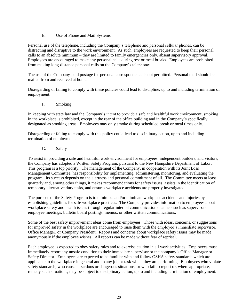# E. Use of Phone and Mail Systems

Personal use of the telephone, including the Company's telephone and personal cellular phones, can be distracting and disruptive to the work environment. As such, employees are requested to keep their personal calls to an absolute minimum – they are limited to family emergencies only, absent supervisory approval. Employees are encouraged to make any personal calls during rest or meal breaks. Employees are prohibited from making long-distance personal calls on the Company's telephones.

The use of the Company-paid postage for personal correspondence is not permitted. Personal mail should be mailed from and received at home.

Disregarding or failing to comply with these policies could lead to discipline, up to and including termination of employment.

F. Smoking

In keeping with state law and the Company's intent to provide a safe and healthful work environment, smoking in the workplace is prohibited, except in the rear of the office building and in the Company's specifically designated as smoking areas. Employees may only smoke during scheduled break or meal times only.

Disregarding or failing to comply with this policy could lead to disciplinary action, up to and including termination of employment.

G. Safety

To assist in providing a safe and healthful work environment for employees, independent builders, and visitors, the Company has adopted a Written Safety Program, pursuant to the New Hampshire Department of Labor. This program is a top priority. The management of the Company, in cooperation with its Joint Loss Management Committee, has responsibility for implementing, administering, monitoring, and evaluating the program. Its success depends on the alertness and personal commitment of all. The Committee meets at least quarterly and, among other things, it makes recommendations for safety issues, assists in the identification of temporary alternative duty tasks, and ensures workplace accidents are properly investigated.

The purpose of the Safety Program is to minimize and/or eliminate workplace accidents and injuries by establishing guidelines for safe workplace practices. The Company provides information to employees about workplace safety and health issues through regular internal communication channels such as supervisoremployee meetings, bulletin board postings, memos, or other written communications.

Some of the best safety improvement ideas come from employees. Those with ideas, concerns, or suggestions for improved safety in the workplace are encouraged to raise them with the employee's immediate supervisor, Office Manager, or Company President. Reports and concerns about workplace safety issues may be made anonymously if the employee wishes. All reports can be made without fear of reprisal.

Each employee is expected to obey safety rules and to exercise caution in all work activities. Employees must immediately report any unsafe condition to their immediate supervisor or the company's Office Manager or Safety Director. Employees are expected to be familiar with and follow OSHA safety standards which are applicable to the workplace in general and to any job or task which they are performing. Employees who violate safety standards, who cause hazardous or dangerous situations, or who fail to report or, where appropriate, remedy such situations, may be subject to disciplinary action, up to and including termination of employment.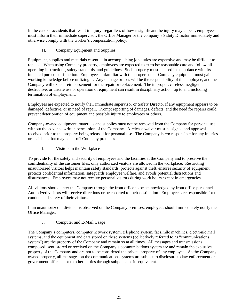In the case of accidents that result in injury, regardless of how insignificant the injury may appear, employees must inform their immediate supervisor, the Office Manager or the company's Safety Director immediately and otherwise comply with the worker's compensation policy.

H. Company Equipment and Supplies

Equipment, supplies and materials essential in accomplishing job duties are expensive and may be difficult to replace. When using Company property, employees are expected to exercise reasonable care and follow all operating instructions, safety standards, and guidelines. Such property must be used in accordance with its intended purpose or function. Employees unfamiliar with the proper use of Company equipment must gain a working knowledge before utilizing it. Any damage or loss will be the responsibility of the employee, and the Company will expect reimbursement for the repair or replacement. The improper, careless, negligent, destructive, or unsafe use or operation of equipment can result in disciplinary action, up to and including termination of employment.

Employees are expected to notify their immediate supervisor or Safety Director if any equipment appears to be damaged, defective, or in need of repair. Prompt reporting of damages, defects, and the need for repairs could prevent deterioration of equipment and possible injury to employees or others.

Company-owned equipment, materials and supplies must not be removed from the Company for personal use without the advance written permission of the Company. A release waiver must be signed and approval received prior to the property being released for personal use. The Company is *not* responsible for any injuries or accidents that may occur off Company premises.

I. Visitors in the Workplace

To provide for the safety and security of employees and the facilities at the Company and to preserve the confidentiality of the customer files, only authorized visitors are allowed in the workplace. Restricting unauthorized visitors helps maintain safety standards, protects against theft, ensures security of equipment, protects confidential information, safeguards employee welfare, and avoids potential distractions and disturbances. Employees may not receive personal visitors during work hours except in emergencies.

All visitors should enter the Company through the front office to be acknowledged by front office personnel. Authorized visitors will receive directions or be escorted to their destination. Employees are responsible for the conduct and safety of their visitors.

If an unauthorized individual is observed on the Company premises, employees should immediately notify the Office Manager.

J. Computer and E-Mail Usage

The Company's computers, computer network system, telephone system, facsimile machines, electronic mail systems, and the equipment and data stored on these systems (collectively referred to as "communications system") are the property of the Company and remain so at all times. All messages and transmissions composed, sent, stored or received on the Company's communications system are and remain the exclusive property of the Company and are not to be considered the private property of any employee. As the Companyowned property, all messages on the communications systems are subject to disclosure to law enforcement or government officials, or to other parties through subpoena or its equivalent.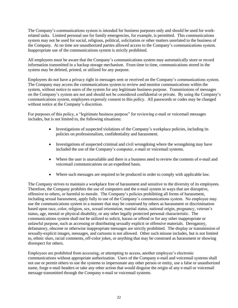The Company's communications system is intended for business purposes only and should be used for workrelated tasks. Limited personal use for family emergencies, for example, is permitted. This communications system may not be used for social, religious, political, solicitation or other matters unrelated to the business of the Company. At no time are unauthorized parties allowed access to the Company's communications system. Inappropriate use of the communications system is strictly prohibited.

All employees must be aware that the Company's communications system may automatically store or record information transmitted in a backup storage mechanism. From time to time, communications stored in the system may be deleted, printed, or utilized for any purpose.

Employees do not have a privacy right in messages sent or received on the Company's communications system. The Company may access the communications system to review and monitor communications within the system, without notice to users of the system for any legitimate business purpose. Transmissions of messages on the Company's system are not and should not be considered confidential or private. By using the Company's communications system, employees expressly consent to this policy. All passwords or codes may be changed without notice at the Company's discretion.

For purposes of this policy, a "legitimate business purpose" for reviewing e-mail or voicemail messages includes, but is not limited to, the following situations:

- Investigations of suspected violations of the Company's workplace policies, including its policies on professionalism, confidentiality and harassment.
- Investigations of suspected criminal and civil wrongdoing where the wrongdoing may have included the use of the Company's computer, e-mail or voicemail systems.
- Where the user is unavailable and there is a business need to review the contents of e-mail and voicemail communications on an expedited basis.
- Where such messages are required to be produced in order to comply with applicable law.

The Company strives to maintain a workplace free of harassment and sensitive to the diversity of its employees. Therefore, the Company prohibits the use of computers and the e-mail system in ways that are disruptive, offensive to others, or harmful to morale. The Company's policies prohibiting all forms of harassment, including sexual harassment, apply fully to use of the Company's communications system. No employee may use the communications system in a manner that may be construed by others as harassment or discrimination based upon race, color, religion, sex, sexual orientation, marital status, national origin, pregnancy, veteran's status, age, mental or physical disability, or any other legally protected personal characteristic. The communications system shall not be utilized to solicit, harass or offend or for any other inappropriate or unlawful purpose, such as accessing or distributing sexually explicit or offensive materials. Derogatory, defamatory, obscene or otherwise inappropriate messages are strictly prohibited. The display or transmission of sexually-explicit images, messages, and cartoons is not allowed. Other such misuse includes, but is not limited to, ethnic slurs, racial comments, off-color jokes, or anything that may be construed as harassment or showing disrespect for others.

Employees are prohibited from accessing, or attempting to access, another employee's electronic communications without appropriate authorization. Users of the Company e-mail and voicemail systems shall not use or permit others to use the systems to impersonate any other person or entity, use a false or unauthorized name, forge e-mail headers or take any other action that would disguise the origin of any e-mail or voicemail message transmitted through the Company e-mail or voicemail systems.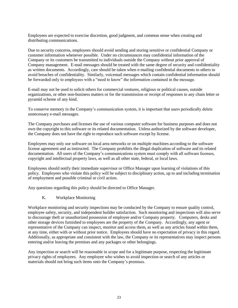Employees are expected to exercise discretion, good judgment, and common sense when creating and distributing communications.

Due to security concerns, employees should avoid sending and storing sensitive or confidential Company or customer information whenever possible. Under no circumstances may confidential information of the Company or its customers be transmitted to individuals outside the Company without prior approval of Company management. E-mail messages should be treated with the same degree of security and confidentiality as written documents. Accordingly, care should be taken when e-mailing confidential documents to others to avoid breaches of confidentiality. Similarly, voicemail messages which contain confidential information should be forwarded only to employees with a "need to know" the information contained in the message.

E-mail may not be used to solicit others for commercial ventures, religious or political causes, outside organizations, or other non-business matters or for the transmission or receipt of responses to any chain letter or pyramid scheme of any kind.

To conserve memory in the Company's communication system, it is important that users periodically delete unnecessary e-mail messages.

The Company purchases and licenses the use of various computer software for business purposes and does not own the copyright to this software or its related documentation. Unless authorized by the software developer, the Company does not have the right to reproduce such software except by license.

Employees may only use software on local area networks or on multiple machines according to the software license agreement and as instructed. The Company prohibits the illegal duplication of software and its related documentation. All users of the Company's communications system must comply with all software licenses, copyright and intellectual property laws, as well as all other state, federal, or local laws.

Employees should notify their immediate supervisor or Office Manager upon learning of violations of this policy. Employees who violate this policy will be subject to disciplinary action, up to and including termination of employment and possible criminal or civil action.

Any questions regarding this policy should be directed to Office Manager.

K. Workplace Monitoring

Workplace monitoring and security inspections may be conducted by the Company to ensure quality control, employee safety, security, and independent builder satisfaction. Such monitoring and inspections will also serve to discourage theft or unauthorized possession of employee and/or Company property. Computers, desks and other storage devices furnished to employees are the property of the Company.Accordingly, any agent or representative of the Company can inspect, monitor and access them, as well as any articles found within them, at any time, either with or without prior notice. Employees should have no expectation of privacy in this regard. Additionally, as appropriate and consistent with the law, the Company or its representatives may inspect persons entering and/or leaving the premises and any packages or other belongings.

Any inspection or search will be reasonable in scope and for a legitimate purpose, respecting the legitimate privacy rights of employees. Any employee who wishes to avoid inspection or search of any articles or materials should not bring such items onto the Company's premises.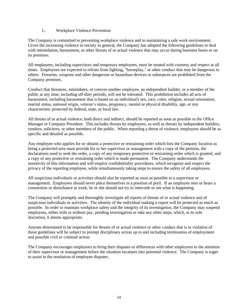#### L. Workplace Violence Prevention

The Company is committed to preventing workplace violence and to maintaining a safe work environment. Given the increasing violence in society in general, the Company has adopted the following guidelines to deal with intimidation, harassment, or other threats of or actual violence that may occur during business hours or on its premises.

All employees, including supervisors and temporary employees, must be treated with courtesy and respect at all times. Employees are expected to refrain from fighting, "horseplay," or other conduct that may be dangerous to others. Firearms, weapons and other dangerous or hazardous devices or substances are prohibited from the Company premises.

Conduct that threatens, intimidates, or coerces another employee, an independent builder, or a member of the public at any time, including off-duty periods, will not be tolerated. This prohibition includes all acts of harassment, including harassment that is based on an individual's sex, race, color, religion, sexual orientation, marital status, national origin, veteran's status, pregnancy, mental or physical disability, age, or any characteristic protected by federal, state, or local law.

All threats of or actual violence, both direct and indirect, should be reported as soon as possible to the Office Manager or Company President. This includes threats by employees, as well as threats by independent builders, vendors, solicitors, or other members of the public. When reporting a threat of violence, employees should be as specific and detailed as possible.

Any employee who applies for or obtains a protective or restraining order which lists the Company location as being a protected area must provide his or her supervisor or management with a copy of the petition, the declarations used to seek the order, a copy of any temporary protective or restraining order which is granted, and a copy of any protective or restraining order which is made permanent. The Company understands the sensitivity of this information and will employ confidentiality procedures, which recognize and respect the privacy of the reporting employee, while simultaneously taking steps to ensure the safety of all employees.

All suspicious individuals or activities should also be reported as soon as possible to a supervisor or management. Employees should never place themselves in a position of peril. If an employee sees or hears a commotion or disturbance at work, he or she should not try to intercede or see what is happening.

The Company will promptly and thoroughly investigate all reports of threats of or actual violence and of suspicious individuals or activities. The identity of the individual making a report will be protected as much as possible. In order to maintain workplace safety and the integrity of its investigation, the Company may suspend employees, either with or without pay, pending investigation or take any other steps, which, at its sole discretion, it deems appropriate.

Anyone determined to be responsible for threats of or actual violence or other conduct that is in violation of these guidelines will be subject to prompt disciplinary action up to and including termination of employment and possible civil or criminal action.

The Company encourages employees to bring their disputes or differences with other employees to the attention of their supervisor or management before the situation escalates into potential violence. The Company is eager to assist in the resolution of employee disputes.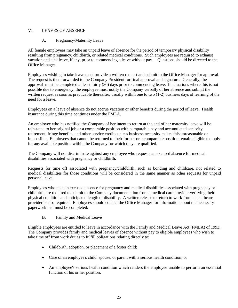## VI. LEAVES OF ABSENCE

## A. Pregnancy/Maternity Leave

All female employees may take an unpaid leave of absence for the period of temporary physical disability resulting from pregnancy, childbirth, or related medical conditions. Such employees are required to exhaust vacation and sick leave, if any, prior to commencing a leave without pay. Questions should be directed to the Office Manager.

Employees wishing to take leave must provide a written request and submit to the Office Manager for approval. The request is then forwarded to the Company President for final approval and signature. Generally, the approval must be completed at least thirty (30) days prior to commencing leave. In situations where this is not possible due to emergency, the employee must notify the Company verbally of her absence and submit the written request as soon as practicable thereafter, usually within one to two (1-2) business days of learning of the need for a leave.

Employees on a leave of absence do not accrue vacation or other benefits during the period of leave. Health insurance during this time continues under the FMLA.

An employee who has notified the Company of her intent to return at the end of her maternity leave will be reinstated to her original job or a comparable position with comparable pay and accumulated seniority, retirement, fringe benefits, and other service credits unless business necessity makes this unreasonable or impossible. Employees that cannot be returned to their former or a comparable position remain eligible to apply for any available position within the Company for which they are qualified.

The Company will not discriminate against any employee who requests an excused absence for medical disabilities associated with pregnancy or childbirth.

Requests for time off associated with pregnancy/childbirth, such as bonding and childcare, not related to medical disabilities for those conditions will be considered in the same manner as other requests for unpaid personal leave.

Employees who take an excused absence for pregnancy and medical disabilities associated with pregnancy or childbirth are required to submit to the Company documentation from a medical care provider verifying their physical condition and anticipated length of disability. A written release to return to work from a healthcare provider is also required. Employees should contact the Office Manager for information about the necessary paperwork that must be completed.

B. Family and Medical Leave

Eligible employees are entitled to leave in accordance with the Family and Medical Leave Act (FMLA) of 1993. The Company provides family and medical leaves of absence without pay to eligible employees who wish to take time off from work duties to fulfill obligations relating directly to:

- Childbirth, adoption, or placement of a foster child;
- Care of an employee's child, spouse, or parent with a serious health condition; or
- An employee's serious health condition which renders the employee unable to perform an essential function of his or her position.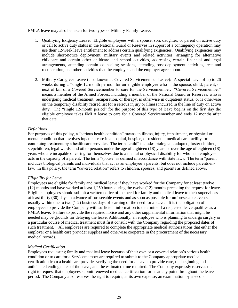FMLA leave may also be taken for two types of Military Family Leave:

- 1. Qualifying Exigency Leave: Eligible employees with a spouse, son, daughter, or parent on active duty or call to active duty status in the National Guard or Reserves in support of a contingency operation may use their 12-week leave entitlement to address certain qualifying exigencies. Qualifying exigencies may include short-notice deployment, military events and related activities, arranging for alternative childcare and certain other childcare and school activities, addressing certain financial and legal arrangements, attending certain counseling sessions, attending post-deployment activities, rest and recuperation, and other activities that the employee and the employer agree upon.
- 2. Military Caregiver Leave (also known as Covered Servicemember Leave): A special leave of up to 26 weeks during a "single 12-month period" for an eligible employee who is the spouse, child, parent, or next of kin of a Covered Servicemember to care for the Servicemember. "Covered Servicemember" means a member of the Armed Forces, including a member of the National Guard or Reserves, who is undergoing medical treatment, recuperation, or therapy, is otherwise in outpatient status, or is otherwise on the temporary disability retired list for a serious injury or illness incurred in the line of duty on active duty. The "single 12-month period" for the purpose of this type of leave begins on the first day the eligible employee takes FMLA leave to care for a Covered Servicemember and ends 12 months after that date.

#### *Definitions*

For purposes of this policy, a "serious health condition" means an illness, injury, impairment, or physical or mental condition that involves inpatient care in a hospital, hospice, or residential medical care facility, or continuing treatment by a health care provider. The term "child" includes biological, adopted, foster children, stepchildren, legal wards, and other persons under the age of eighteen (18) years or over the age of eighteen (18) years who are incapable of caring for themselves due to a mental or physical disability for whom an employee acts in the capacity of a parent. The term "spouse" is defined in accordance with state laws. The term "parent" includes biological parents and individuals that act as an employee's parents, but does not include parents-inlaw. In this policy, the term "covered relation" refers to children, spouses, and parents as defined above.

#### *Eligibility for Leave*

Employees are eligible for family and medical leave if they have worked for the Company for at least twelve (12) months and have worked at least 1,250 hours during the twelve (12) months preceding the request for leave. Eligible employees should submit a written notice of the need for family and medical leave to their supervisors at least thirty (30) days in advance of foreseeable events and as soon as possible for unforeseeable events, usually within one to two (1-2) business days of learning of the need for a leave. It is the obligation of employees to provide the Company with sufficient information to determine if a requested leave qualifies as a FMLA leave. Failure to provide the required notice and any other supplemental information that might be needed may be grounds for delaying the leave. Additionally, an employee who is planning to undergo surgery or a particular course of medical treatment must first consult with the Company regarding the proposed dates of such treatment. All employees are required to complete the appropriate medical authorizations that either the employer or a health care provider supplies and otherwise cooperate in the procurement of the necessary medical records.

#### *Medical Certification*

Employees requesting family and medical leave because of their own or a covered relation's serious health condition or to care for a Servicemember are required to submit to the Company appropriate medical certification from a healthcare provider verifying the need for a leave to provide care, the beginning and anticipated ending dates of the leave, and the estimated time required. The Company expressly reserves the right to request that employees submit renewed medical certification forms at any point throughout the leave period. The Company also reserves the right to require, at its own expense, an examination by a second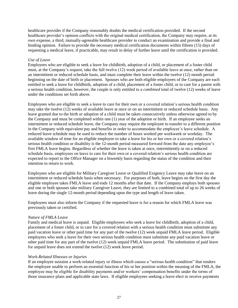healthcare provider if the Company reasonably doubts the medical certification provided. If the second healthcare provider's opinion conflicts with the original medical certification, the Company may require, at its own expense, a third, mutually-agreeable healthcare provider to conduct an examination and provide a final and binding opinion. Failure to provide the necessary medical certification documents within fifteen (15) days of requesting a medical leave, if practicable, may result in delay of further leave until the certification is provided.

#### *Use of Leave*

Employees who are eligible to seek a leave for childbirth, adoption of a child, or placement of a foster child must, at the Company's request, take the full twelve (12) week period of available leave at once, rather than on an intermittent or reduced schedule basis, and must complete their leave within the twelve (12) month period beginning on the date of birth or placement. Spouses who are both eligible employees of the Company are each entitled to seek a leave for childbirth, adoption of a child, placement of a foster child, or to care for a parent with a serious health condition, however, the couple is only entitled to a *combined* total of twelve (12) weeks of leave under the conditions set forth above.

Employees who are eligible to seek a leave to care for their own or a covered relation's serious health condition may take the twelve (12) weeks of available leave at once or on an intermittent or reduced schedule basis. Any leave granted due to the birth or adoption of a child must be taken consecutively unless otherwise agreed to by the Company and must be completed within one (1) year of the adoption or birth. If an employee seeks an intermittent or reduced schedule leave, the Company may require the employee to transfer to a different position in the Company with equivalent pay and benefits in order to accommodate the employee's leave schedule. A reduced leave schedule may be used to reduce the number of hours worked per workweek or workday. The available window of time for an eligible employee to take a leave for his or her own or a covered relation's serious health condition or disability is the 12-month period measured forward from the date any employee's first FMLA leave begins. Regardless of whether the leave is taken at once, intermittently or on a reduced schedule basis, employees on leave to care for their own or a covered relation's serious health condition are expected to report to the Office Manager on a biweekly basis regarding the status of the condition and their intention to return to work.

Employees who are eligible for Military Caregiver Leave or Qualified Exigency Leave may take leave on an intermittent or reduced schedule basis when necessary. For purposes of both, leave begins on the first day the eligible employee takes FMLA leave and ends 12 months after that date. If the Company employs both spouses and one or both spouses take military Caregiver Leave, they are limited to a combined total of up to 26 weeks of leave during the single 12-month period depending upon the type and length of leave taken.

Employees must also inform the Company if the requested leave is for a reason for which FMLA leave was previously taken or certified.

#### *Nature of FMLA Leave*

Family and medical leave is unpaid. Eligible employees who seek a leave for childbirth, adoption of a child, placement of a foster child, or to care for a covered relation with a serious health condition must substitute any paid vacation leave or other paid time for any part of the twelve (12) week unpaid FMLA leave period. Eligible employees who seek a leave for their own serious health condition must substitute any paid vacation leave or other paid time for any part of the twelve (12) week unpaid FMLA leave period. The substitution of paid leave for unpaid leave does not extend the twelve (12) week leave period.

#### *Work-Related Illnesses or Injuries*

If an employee sustains a work-related injury or illness which causes a "serious health condition" that renders the employee unable to perform an essential function of his or her position within the meaning of the FMLA, the employee may be eligible for disability payments and/or workers' compensation benefits under the terms of those insurance plans and applicable state laws. If eligible employees seeking a leave elect to receive payments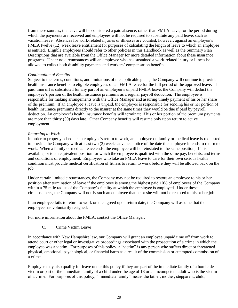from these sources, the leave will be considered a paid absence, rather than FMLA leave, for the period during which the payments are received and employees will not be required to substitute any paid leave, such as vacation leave. Absences for work-related injuries or illnesses are counted, however, against an employee's FMLA twelve (12) week leave entitlement for purposes of calculating the length of leave to which an employee is entitled. Eligible employees should refer to other policies in this Handbook as well as the Summary Plan Descriptions that are available from the Office Manager for more detailed information about these insurance programs. Under no circumstances will an employee who has sustained a work-related injury or illness be allowed to collect both disability payments and workers' compensation benefits.

#### *Continuation of Benefits*

Subject to the terms, conditions, and limitations of the applicable plans*,* the Company will continue to provide health insurance benefits to eligible employees on an FMLA leave for the full period of the approved leave. If paid time off is substituted for any part of an employee's unpaid FMLA leave, the Company will deduct the employee's portion of the health insurance premiums as a regular payroll deduction. The employee is responsible for making arrangements with the Office Manager and assuring timely payment of his or her share of the premium. If an employee's leave is unpaid, the employee is responsible for sending his or her portion of health insurance premiums directly to the insurer at the same times they would be due if paid by payroll deduction. An employee's health insurance benefits will terminate if his or her portion of the premium payments are more than thirty (30) days late. Other Company benefits will resume only upon return to active employment.

#### *Returning to Work*

In order to properly schedule an employee's return to work, an employee on family or medical leave is requested to provide the Company with at least two (2) weeks advance notice of the date the employee intends to return to work. When a family or medical leave ends, the employee will be reinstated to the same position, if it is available, or to an equivalent position for which the employee is qualified with the same pay, benefits, and terms and conditions of employment. Employees who take an FMLA leave to care for their own serious health condition must provide medical certification of fitness to return to work before they will be allowed back on the job.

Under certain limited circumstances, the Company may not be required to restore an employee to his or her position after termination of leave if the employee is among the highest paid 10% of employees of the Company within a 75 mile radius of the Company's facility at which the employee is employed. Under these circumstances, the Company will notify such an employee that he or she will not be restored to his or her job.

If an employee fails to return to work on the agreed upon return date, the Company will assume that the employee has voluntarily resigned.

For more information about the FMLA, contact the Office Manager.

## C. Crime Victim Leave

In accordance with New Hampshire law, our Company will grant an employee unpaid time off from work to attend court or other legal or investigative proceedings associated with the prosecution of a crime in which the employee was a victim. For purposes of this policy, a "victim" is any person who suffers direct or threatened physical, emotional, psychological, or financial harm as a result of the commission or attempted commission of a crime.

Employee may also qualify for leave under this policy if they are part of the immediate family of a homicide victim or part of the immediate family of a child under the age of 18 or an incompetent adult who is the victim of a crime. For purposes of this policy, "immediate family" means the father, mother, stepparent, child,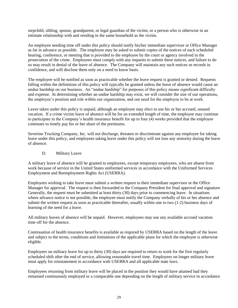stepchild, sibling, spouse, grandparent, or legal guardian of the victim, or a person who is otherwise in an intimate relationship with and residing in the same household as the victim.

An employee needing time off under this policy should notify his/her immediate supervisor or Office Manager as far in advance as possible. The employee may be asked to submit copies of the notices of each scheduled hearing, conference, or meeting that is provided to the employee by the court or agency involved in the prosecution of the crime. Employees must comply with any requests to submit these notices, and failure to do so may result in denial of the leave of absence. The Company will maintain any such notices or records in confidence, and will disclose them only on a need to know basis.

The employee will be notified as soon as practicable whether the leave request is granted or denied. Requests falling within the definitions of this policy will typically be granted unless the leave of absence would cause an undue hardship on our business. An "undue hardship" for purposes of this policy means significant difficulty and expense. In determining whether an undue hardship may exist, we will consider the size of our operations, the employee's position and role within our organization, and our need for the employee to be at work.

Leave taken under this policy is unpaid, although an employee may elect to use his or her accrued, unused vacation. If a crime victim leave of absence will be for an extended length of time, the employee may continue to participate in the Company's health insurance benefit for up to four (4) weeks provided that the employee continues to timely pay his or her share of the premiums.

Severino Trucking Company, Inc. will not discharge, threaten or discriminate against any employee for taking leave under this policy, and employees taking leave under this policy will not lose any seniority during the leave of absence.

#### D. Military Leave

A military leave of absence will be granted to employees, except temporary employees, who are absent from work because of service in the United States uniformed services in accordance with the Uniformed Services Employment and Reemployment Rights Act (USERRA).

Employees wishing to take leave must submit a written request to their immediate supervisor or the Office Manager for approval. The request is then forwarded to the Company President for final approval and signature. Generally, the request must be submitted at least thirty (30) days prior to commencing leave. In situations where advance notice is not possible, the employee must notify the Company verbally of his or her absence and submit the written request as soon as practicable thereafter, usually within one to two (1-2) business days of learning of the need for a leave.

All military leaves of absence will be unpaid. However, employees may use any available accrued vacation time off for the absence.

Continuation of health insurance benefits is available as required by USERRA based on the length of the leave and subject to the terms, conditions and limitations of the applicable plans for which the employee is otherwise eligible.

Employees on military leave for up to thirty (30) days are required to return to work for the first regularly scheduled shift after the end of service, allowing reasonable travel time. Employees on longer military leave must apply for reinstatement in accordance with USERRA and all applicable state laws.

Employees returning from military leave will be placed in the position they would have attained had they remained continuously employed or a comparable one depending on the length of military service in accordance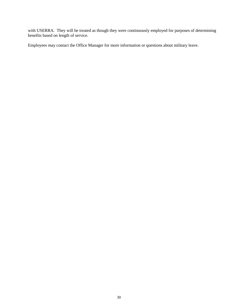with USERRA. They will be treated as though they were continuously employed for purposes of determining benefits based on length of service.

Employees may contact the Office Manager for more information or questions about military leave.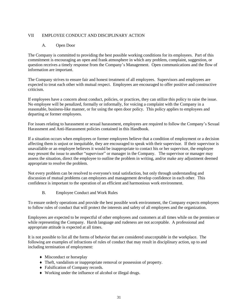# VII EMPLOYEE CONDUCT AND DISCIPLINARY ACTION

## A. Open Door

The Company is committed to providing the best possible working conditions for its employees. Part of this commitment is encouraging an open and frank atmosphere in which any problem, complaint, suggestion, or question receives a timely response from the Company's Management. Open communications and the flow of information are important.

The Company strives to ensure fair and honest treatment of all employees. Supervisors and employees are expected to treat each other with mutual respect. Employees are encouraged to offer positive and constructive criticism.

If employees have a concern about conduct, policies, or practices, they can utilize this policy to raise the issue. No employee will be penalized, formally or informally, for voicing a complaint with the Company in a reasonable, business-like manner, or for using the open door policy. This policy applies to employees and departing or former employees.

For issues relating to harassment or sexual harassment, employees are required to follow the Company's Sexual Harassment and Anti-Harassment policies contained in this Handbook.

If a situation occurs when employees or former employees believe that a condition of employment or a decision affecting them is unjust or inequitable, they are encouraged to speak with their supervisor. If their supervisor is unavailable or an employee believes it would be inappropriate to contact his or her supervisor, the employee may present the issue to another "supervisor" or manager in the Company. The supervisor or manager may assess the situation, direct the employee to outline the problem in writing, and/or make any adjustment deemed appropriate to resolve the problem.

Not every problem can be resolved to everyone's total satisfaction, but only through understanding and discussion of mutual problems can employees and management develop confidence in each other. This confidence is important to the operation of an efficient and harmonious work environment.

B. Employee Conduct and Work Rules

To ensure orderly operations and provide the best possible work environment, the Company expects employees to follow rules of conduct that will protect the interests and safety of all employees and the organization.

Employees are expected to be respectful of other employees and customers at all times while on the premises or while representing the Company. Harsh language and rudeness are not acceptable. A professional and appropriate attitude is expected at all times.

It is not possible to list all the forms of behavior that are considered unacceptable in the workplace. The following are examples of infractions of rules of conduct that may result in disciplinary action, up to and including termination of employment:

- $\blacklozenge$  Misconduct or horseplay
- Theft, vandalism or inappropriate removal or possession of property.
- ◆ Falsification of Company records.
- Working under the influence of alcohol or illegal drugs.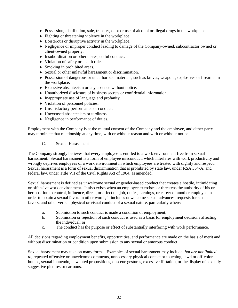- Possession, distribution, sale, transfer, odor or use of alcohol or illegal drugs in the workplace.
- Fighting or threatening violence in the workplace.
- Boisterous or disruptive activity in the workplace.
- Negligence or improper conduct leading to damage of the Company-owned, subcontractor owned or client-owned property.
- Insubordination or other disrespectful conduct.
- $\blacklozenge$  Violation of safety or health rules.
- Smoking in prohibited areas.
- Sexual or other unlawful harassment or discrimination.
- Possession of dangerous or unauthorized materials, such as knives, weapons, explosives or firearms in the workplace.
- Excessive absenteeism or any absence without notice.
- Unauthorized disclosure of business secrets or confidential information.
- Inappropriate use of language and profanity.
- Violation of personnel policies.
- Unsatisfactory performance or conduct.
- Unexcused absenteeism or tardiness.
- Negligence in performance of duties.

Employment with the Company is at the mutual consent of the Company and the employee, and either party may terminate that relationship at any time, with or without reason and with or without notice.

## C. Sexual Harassment

The Company strongly believes that every employee is entitled to a work environment free from sexual harassment. Sexual harassment is a form of employee misconduct, which interferes with work productivity and wrongly deprives employees of a work environment in which employees are treated with dignity and respect. Sexual harassment is a form of sexual discrimination that is prohibited by state law, under RSA 354-A, and federal law, under Title VII of the Civil Rights Act of 1964, as amended.

Sexual harassment is defined as unwelcome sexual or gender-based conduct that creates a hostile, intimidating or offensive work environment. It also exists when an employee exercises or threatens the authority of his or her position to control, influence, direct, or affect the job, duties, earnings, or career of another employee in order to obtain a sexual favor. In other words, it includes unwelcome sexual advances, requests for sexual favors, and other verbal, physical or visual conduct of a sexual nature, particularly where:

- a. Submission to such conduct is made a condition of employment;
- b. Submission or rejection of such conduct is used as a basis for employment decisions affecting the individual; or
- c. The conduct has the purpose or effect of substantially interfering with work performance.

All decisions regarding employment benefits, opportunities, and performance are made on the basis of merit and without discrimination or condition upon submission to any sexual or amorous conduct.

Sexual harassment may take on many forms. Examples of sexual harassment may include, *but are not limited to*, repeated offensive or unwelcome comments, unnecessary physical contact or touching, lewd or off-color humor, sexual innuendo, unwanted propositions, obscene gestures, excessive flirtation, or the display of sexually suggestive pictures or cartoons.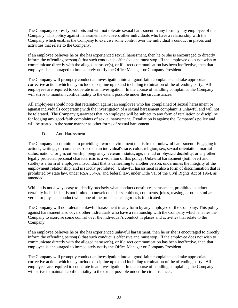The Company expressly prohibits and will not tolerate sexual harassment in any form by any employee of the Company. This policy against harassment also covers other individuals who have a relationship with the Company which enables the Company to exercise some control over the individual's conduct in places and activities that relate to the Company.

If an employee believes he or she has experienced sexual harassment, then he or she is encouraged to directly inform the offending person(s) that such conduct is offensive and must stop. If the employee does not wish to communicate directly with the alleged harasser(s), or if direct communication has been ineffective, then that employee is encouraged to immediately notify the Office Manager or Company President.

The Company will promptly conduct an investigation into all good-faith complaints and take appropriate corrective action, which may include discipline up to and including termination of the offending party. All employees are required to cooperate in an investigation. In the course of handling complaints, the Company will strive to maintain confidentiality to the extent possible under the circumstances.

All employees should note that retaliation against an employee who has complained of sexual harassment or against individuals cooperating with the investigation of a sexual harassment complaint is unlawful and will not be tolerated. The Company guarantees that no employee will be subject to any form of retaliation or discipline for lodging any good-faith complaints of sexual harassment. Retaliation is against the Company's policy and will be treated in the same manner as other forms of sexual harassment.

## D. Anti-Harassment

The Company is committed to providing a work environment that is free of unlawful harassment. Engaging in actions, writings, or comments based on an individual's race, color, religion, sex, sexual orientation, marital status, national origin, citizenship, pregnancy, veteran's status, age, mental or physical disability, or any other legally protected personal characteristic is a violation of this policy. Unlawful harassment (both overt and subtle) is a form of employee misconduct that is demeaning to another person, undermines the integrity of the employment relationship, and is strictly prohibited. Unlawful harassment is also a form of discrimination that is prohibited by state law, under RSA 354-A, and federal law, under Title VII of the Civil Rights Act of 1964, as amended.

While it is not always easy to identify precisely what conduct constitutes harassment, prohibited conduct certainly includes but is not limited to unwelcome slurs, epithets, comments, jokes, teasing, or other similar verbal or physical conduct when one of the protected categories is implicated.

The Company will not tolerate unlawful harassment in any form by any employee of the Company. This policy against harassment also covers other individuals who have a relationship with the Company which enables the Company to exercise some control over the individual's conduct in places and activities that relate to the Company.

If an employee believes he or she has experienced unlawful harassment, then he or she is encouraged to directly inform the offending person(s) that such conduct is offensive and must stop. If the employee does not wish to communicate directly with the alleged harasser(s), or if direct communication has been ineffective, then that employee is encouraged to immediately notify the Office Manager or Company President.

The Company will promptly conduct an investigation into all good-faith complaints and take appropriate corrective action, which may include discipline up to and including termination of the offending party. All employees are required to cooperate in an investigation. In the course of handling complaints, the Company will strive to maintain confidentiality to the extent possible under the circumstances.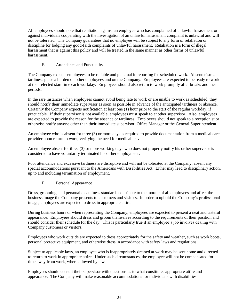All employees should note that retaliation against an employee who has complained of unlawful harassment or against individuals cooperating with the investigation of an unlawful harassment complaint is unlawful and will not be tolerated. The Company guarantees that no employee will be subject to any form of retaliation or discipline for lodging any good-faith complaints of unlawful harassment. Retaliation is a form of illegal harassment that is against this policy and will be treated in the same manner as other forms of unlawful harassment.

## E. Attendance and Punctuality

The Company expects employees to be reliable and punctual in reporting for scheduled work. Absenteeism and tardiness place a burden on other employees and on the Company. Employees are expected to be ready to work at their elected start time each workday. Employees should also return to work promptly after breaks and meal periods.

In the rare instances when employees cannot avoid being late to work or are unable to work as scheduled, they should notify their immediate supervisor as soon as possible in advance of the anticipated tardiness or absence. Certainly the Company expects notification at least one (1) hour prior to the start of the regular workday, if practicable. If their supervisor is not available, employees must speak to another supervisor. Also, employees are expected to provide the reason for the absence or tardiness. Employees should not speak to a receptionist or otherwise notify anyone other than their immediate supervisor, Office Manager or the General Superintendent.

An employee who is absent for three (3) or more days is required to provide documentation from a medical care provider upon return to work, verifying the need for medical leave.

An employee absent for three (3) or more working days who does not properly notify his or her supervisor is considered to have voluntarily terminated his or her employment.

Poor attendance and excessive tardiness are disruptive and will not be tolerated at the Company, absent any special accommodations pursuant to the Americans with Disabilities Act. Either may lead to disciplinary action, up to and including termination of employment.

## F. Personal Appearance

Dress, grooming, and personal cleanliness standards contribute to the morale of all employees and affect the business image the Company presents to customers and visitors. In order to uphold the Company's professional image, employees are expected to dress in appropriate attire.

During business hours or when representing the Company, employees are expected to present a neat and tasteful appearance. Employees should dress and groom themselves according to the requirements of their position and should consider their schedule for the day. This is particularly true if an employee's job involves dealing with Company customers or visitors.

Employees who work outside are expected to dress appropriately for the safety and weather, such as work boots, personal protective equipment, and otherwise dress in accordance with safety laws and regulations.

Subject to applicable laws, an employee who is inappropriately dressed at work may be sent home and directed to return to work in appropriate attire. Under such circumstances, the employee will not be compensated for time away from work, where allowed by law.

Employees should consult their supervisor with questions as to what constitutes appropriate attire and appearance. The Company will make reasonable accommodations for individuals with disabilities.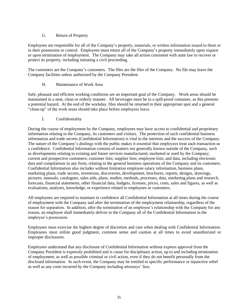## G. Return of Property

Employees are responsible for all of the Company's property, materials, or written information issued to them or in their possession or control. Employees must return all of the Company's property immediately upon request or upon termination of employment. The Company may take all action consistent with state law to recover or protect its property, including initiating a civil proceeding.

The customers are the Company's customers. The files are the files of the Company. No file may leave the Company facilities unless authorized by the Company President.

## H. Maintenance of Work Area

Safe, pleasant and efficient working conditions are an important goal of the Company. Work areas should be maintained in a neat, clean or orderly manner. All beverages must be in a spill-proof container, as this presents a potential hazard. At the end of the workday, files should be returned to their appropriate spot and a general "clean-up" of the work areas should take place before employees leave.

I. Confidentiality

During the course of employment by the Company, employees may have access to confidential and proprietary information relating to the Company, its customers and visitors. The protection of such confidential business information and trade secrets (Confidential Information) is vital to the interests and the success of the Company. The nature of the Company's dealings with the public makes it essential that employees treat each transaction as a confidence. Confidential Information consists of matters not generally known outside of the Company, such as developments relating to existing and future services manufactured, marketed or used by the Company; current and prospective customers; customer lists; supplier lists; employee lists; and data, including electronic data and compilations in any form, relating to the general business operations of the Company and its customers. Confidential Information also includes without limitation employee salary information, business plans, marketing plans, trade secrets, inventions, discoveries, development, brochures, reports, designs, drawings, pictures, manuals, catalogues, sales aids, plans, studies, methods, processes, data, marketing plans and research, forecasts, financial statements, other financial data, budgets, licenses, prices, costs, sales and figures, as well as evaluations, analyses, knowledge, or experience related to employees or customers.

All employees are required to maintain in confidence all Confidential Information at all times during the course of employment with the Company and after the termination of the employment relationship, regardless of the reason for separation. In addition, after the termination of an employee's relationship with the Company for any reason, an employee shall immediately deliver to the Company all of the Confidential Information in the employee's possession.

Employees must exercise the highest degree of discretion and care when dealing with Confidential Information. Employees must utilize good judgment, common sense and caution at all times to avoid unauthorized or improper disclosures.

Employees understand that any disclosure of Confidential Information without express approval from the Company President is expressly prohibited and is cause for disciplinary action, up to and including termination of employment, as well as possible criminal or civil action, even if they do not benefit personally from the disclosed information. In such event, the Company may be entitled to specific performance or injunctive relief as well as any costs incurred by the Company including attorneys' fees.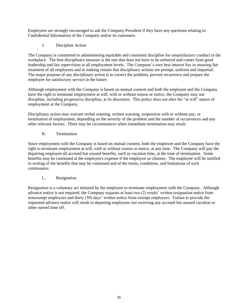Employees are strongly encouraged to ask the Company President if they have any questions relating to Confidential Information of the Company and/or its customers.

J. Discipline Action

The Company is committed to administering equitable and consistent discipline for unsatisfactory conduct in the workplace. The best disciplinary measure is the one that does not have to be enforced and comes from good leadership and fair supervision at all employment levels. The Company's own best interest lies in ensuring fair treatment of all employees and in making certain that disciplinary actions are prompt, uniform and impartial. The major purpose of any disciplinary action is to correct the problem, prevent recurrence and prepare the employee for satisfactory service in the future.

Although employment with the Company is based on mutual consent and both the employee and the Company have the right to terminate employment at will, with or without reason or notice, the Company may use discipline, including progressive discipline, at its discretion. This policy does not alter the "at will" nature of employment at the Company.

Disciplinary action may warrant verbal warning, written warning, suspension with or without pay, or termination of employment, depending on the severity of the problem and the number of occurrences and any other relevant factors. There may be circumstances when immediate termination may result.

K. Termination

Since employment with the Company is based on mutual consent, both the employee and the Company have the right to terminate employment at will, with or without reason or notice, at any time. The Company will pay the departing employee all accrued but unused benefits, such as vacation time, at the time of termination. Some benefits may be continued at the employee's expense if the employee so chooses. The employee will be notified in writing of the benefits that may be continued and of the terms, conditions, and limitations of such continuance.

L. Resignation

Resignation is a voluntary act initiated by the employee to terminate employment with the Company. Although advance notice is not required, the Company requests at least two (2) weeks' written resignation notice from nonexempt employees and thirty (30) days' written notice from exempt employees. Failure to provide the requested advance notice will result in departing employees *not* receiving any accrued but unused vacation or other earned time off.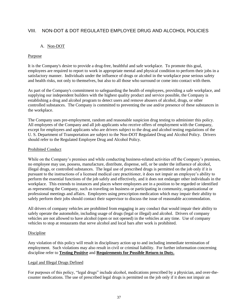# VIII. NON-DOT & DOT REGULATED EMPLOYEE DRUG AND ALCOHOL POLICIES

## A. Non-DOT

#### Purpose

It is the Company's desire to provide a drug-free, healthful and safe workplace. To promote this goal, employees are required to report to work in appropriate mental and physical condition to perform their jobs in a satisfactory manner. Individuals under the influence of drugs or alcohol in the workplace pose serious safety and health risks, not only to themselves, but also to all those who surround or come into contact with them.

As part of the Company's commitment to safeguarding the health of employees, providing a safe workplace, and supplying our independent builders with the highest quality product and service possible, the Company is establishing a drug and alcohol program to detect users and remove abusers of alcohol, drugs, or other controlled substances. The Company is committed to preventing the use and/or presence of these substances in the workplace.

The Company uses pre-employment, random and reasonable suspicion drug testing to administer this policy. All employees of the Company and all job applicants who receive offers of employment with the Company, except for employees and applicants who are drivers subject to the drug and alcohol testing regulations of the U. S. Department of Transportation are subject to the Non-DOT Regulated Drug and Alcohol Policy. Drivers should refer to the Regulated Employee Drug and Alcohol Policy.

#### Prohibited Conduct

While on the Company's premises and while conducting business-related activities off the Company's premises, no employee may use, possess, manufacture, distribute, dispense, sell, or be under the influence of alcohol, illegal drugs, or controlled substances. The legal use of prescribed drugs is permitted on the job only if it is pursuant to the instructions of a licensed medical care practitioner, it does not impair an employee's ability to perform the essential functions of the job safely and effectively, and it does not endanger other individuals in the workplace. This extends to instances and places where employees are in a position to be regarded or identified as representing the Company, such as traveling on business or participating in community, organizational or professional meetings and affairs. Employees using prescription medication which may impair their ability to safely perform their jobs should contact their supervisor to discuss the issue of reasonable accommodation.

All drivers of company vehicles are prohibited from engaging in any conduct that would impair their ability to safely operate the automobile, including usage of drugs (legal or illegal) and alcohol. Drivers of company vehicles are not allowed to have alcohol (open or not opened) in the vehicles at any time. Use of company vehicles to stop at restaurants that serve alcohol and local bars after work is prohibited.

#### **Discipline**

Any violation of this policy will result in disciplinary action up to and including immediate termination of employment. Such violations may also result in civil or criminal liability. For further information concerning discipline refer to **Testing Positive** and **Requirements for Possible Return to Duty.**

#### Legal and Illegal Drugs Defined

For purposes of this policy, "legal drugs" include alcohol, medications prescribed by a physician, and over-thecounter medications. The use of prescribed legal drugs is permitted on the job only if it does not impair an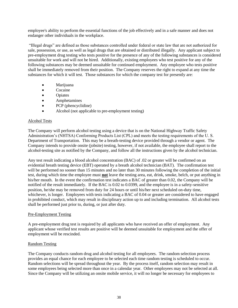employee's ability to perform the essential functions of the job effectively and in a safe manner and does not endanger other individuals in the workplace.

"Illegal drugs" are defined as those substances controlled under federal or state law that are not authorized for sale, possession, or use, as well as legal drugs that are obtained or distributed illegally. Any applicant subject to pre-employment drug testing who tests positive for the presence of any of the following substances is considered unsuitable for work and will not be hired. Additionally, existing employees who test positive for any of the following substances may be deemed unsuitable for continued employment. Any employee who tests positive shall be immediately removed from their position. The Company reserves the right to expand at any time the substances for which it will test. Those substances for which the company test for presently are:

- Marijuana
- Cocaine
- Opiates
- Amphetamines
- PCP (phencyclidine)
- Alcohol (not applicable to pre-employment testing)

#### Alcohol Tests

The Company will perform alcohol testing using a device that is on the National Highway Traffic Safety Administration's (NHTSA) Conforming Products List (CPL) and meets the testing requirements of the U. S. Department of Transportation. This may be a breath-testing device provided through a vendor or agent. The Company intends to provide onsite (jobsite) testing, however, if not available, the employee shall report to the alcohol-testing site as notified by the Company, and follow all the instructions given by the alcohol technician.

Any test result indicating a blood alcohol concentration (BAC) of .02 or greater will be confirmed on an evidential breath testing device (EBT) operated by a breath alcohol technician (BAT). The confirmation test will be performed no sooner than 15 minutes and no later than 30 minutes following the completion of the initial test, during which time the employee must **not** leave the testing area, eat, drink, smoke, belch, or put anything in his/her mouth. In the event the confirmation test indicates a BAC of greater than 0.02, the Company will be notified of the result immediately. If the BAC is 0.02 to 0.0399, and the employee is in a safety-sensitive position, he/she may be removed from duty for 24 hours or until his/her next scheduled on-duty time, whichever, is longer. Employees with tests indicating a BAC of 0.04 or greater are considered to have engaged in prohibited conduct, which may result in disciplinary action up to and including termination. All alcohol tests shall be performed just prior to, during, or just after duty.

#### Pre-Employment Testing

A pre-employment drug test is required by all applicants who have received an offer of employment. Any applicant whose verified test results are positive will be deemed unsuitable for employment and the offer of employment will be rescinded.

#### Random Testing

The Company conducts random drug and alcohol testing for all employees. The random selection process provides an equal chance for each employee to be selected each time random testing is scheduled to occur. Random selections will be spread throughout the year. By the process itself, random selection may result in some employees being selected more than once in a calendar year. Other employees may not be selected at all. Since the Company will be utilizing an onsite mobile service, it will no longer be necessary for employees to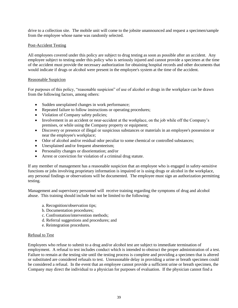drive to a collection site. The mobile unit will come to the jobsite unannounced and request a specimen/sample from the employee whose name was randomly selected.

#### Post-Accident Testing

All employees covered under this policy are subject to drug testing as soon as possible after an accident. Any employee subject to testing under this policy who is seriously injured and cannot provide a specimen at the time of the accident must provide the necessary authorization for obtaining hospital records and other documents that would indicate if drugs or alcohol were present in the employee's system at the time of the accident.

#### Reasonable Suspicion

For purposes of this policy, "reasonable suspicion" of use of alcohol or drugs in the workplace can be drawn from the following factors, among others:

- Sudden unexplained changes in work performance;
- Repeated failure to follow instructions or operating procedures;
- Violation of Company safety policies;
- Involvement in an accident or near-accident at the workplace, on the job while off the Company's premises, or while using the Company property or equipment;
- Discovery or presence of illegal or suspicious substances or materials in an employee's possession or near the employee's workplace;
- Odor of alcohol and/or residual odor peculiar to some chemical or controlled substances;
- Unexplained and/or frequent absenteeism;
- Personality changes or disorientation; and/or
- Arrest or conviction for violation of a criminal drug statute.

If any member of management has a reasonable suspicion that an employee who is engaged in safety-sensitive functions or jobs involving proprietary information is impaired or is using drugs or alcohol in the workplace, any personal findings or observations will be documented. The employee must sign an authorization permitting testing.

Management and supervisory personnel will receive training regarding the symptoms of drug and alcohol abuse. This training should include but not be limited to the following:

- a. Recognition/observation tips;
- b. Documentation procedures;
- c. Confrontation/intervention methods;
- d. Referral suggestions and procedures; and
- e. Reintegration procedures.

#### Refusal to Test

Employees who refuse to submit to a drug and/or alcohol test are subject to immediate termination of employment. A refusal to test includes conduct which is intended to obstruct the proper administration of a test. Failure to remain at the testing site until the testing process is complete and providing a specimen that is altered or substituted are considered refusals to test. Unreasonable delay in providing a urine or breath specimen could be considered a refusal. In the event that an employee cannot provide a sufficient urine or breath specimen, the Company may direct the individual to a physician for purposes of evaluation. If the physician cannot find a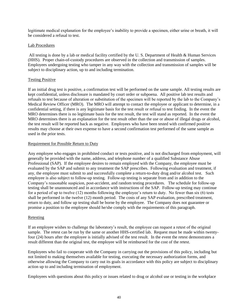legitimate medical explanation for the employee's inability to provide a specimen, either urine or breath, it will be considered a refusal to test.

#### Lab Procedures

All testing is done by a lab or medical facility certified by the U. S. Department of Health & Human Services (HHS). Proper chain-of-custody procedures are observed in the collection and transmission of samples. Employees undergoing testing who tamper in any way with the collection and transmission of samples will be subject to disciplinary action, up to and including termination.

#### Testing Positive

If an initial drug test is positive, a confirmation test will be performed on the same sample. All testing results are kept confidential, unless disclosure is mandated by court order or subpoena. All positive lab test results and refusals to test because of alteration or substitution of the specimen will be reported by the lab to the Company's Medical Review Officer (MRO). The MRO will attempt to contact the employee or applicant to determine, in a confidential setting, if there is any legitimate basis for the test result or refusal to test finding. In the event the MRO determines there is no legitimate basis for the test result, the test will stand as reported. In the event the MRO determines there is an explanation for the test result other than the use or abuse of illegal drugs or alcohol, the test result will be reported back as negative. Employees who have been tested with confirmed positive results may choose at their own expense to have a second confirmation test performed of the same sample as used in the prior tests.

#### Requirement for Possible Return to Duty

Any employee who engages in prohibited conduct or tests positive, and is not discharged from employment, will generally be provided with the name, address, and telephone number of a qualified Substance Abuse Professional (SAP). If the employee desires to remain employed with the Company, the employee must be evaluated by the SAP and submit to any treatment the SAP prescribes. Following evaluation and treatment, if any, the employee must submit to and successfully complete a return-to-duty drug and/or alcohol test. Such employee is also subject to follow-up testing. Follow-up testing is separate from and in addition to the Company's reasonable suspicion, post-accident, and random testing procedures. The schedule for follow-up testing shall be unannounced and in accordance with instructions of the SAP. Follow-up testing may continue for a period of up to twelve (12) months following the employee's return to duty. No fewer than six (6) tests shall be performed in the twelve (12) month period. The costs of any SAP evaluation, prescribed treatment, return to duty, and follow up testing shall be borne by the employee. The Company does not guarantee or promise a position to the employee should he/she comply with the requirements of this paragraph.

#### Retesting

If an employee wishes to challenge the laboratory's result, the employee can request a retest of the original sample. The retest can be run by the same or another HHS-certified lab. Request must be made within twentyfour (24) hours after the employee is initially advised of the test result. In the event the retest demonstrates a result different than the original test, the employee will be reimbursed for the cost of the retest.

Employees who fail to cooperate with the Company in carrying out the provisions of this policy, including but not limited to making themselves available for testing, executing the necessary authorization forms, and otherwise allowing the Company to carry out its goals in accordance with this policy are subject to disciplinary action up to and including termination of employment.

Employees with questions about this policy or issues related to drug or alcohol use or testing in the workplace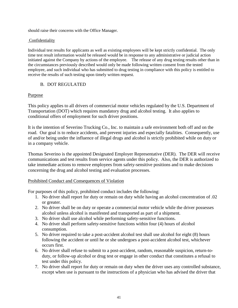should raise their concerns with the Office Manager.

## **Confidentiality**

Individual test results for applicants as well as existing employees will be kept strictly confidential. The only time test result information would be released would be in response to any administrative or judicial action initiated against the Company by actions of the employee. The release of any drug testing results other than in the circumstances previously described would only be made following written consent from the tested employee, and such individual who has submitted to drug testing in compliance with this policy is entitled to receive the results of such testing upon timely written request.

# B. DOT REGULATED

# Purpose

This policy applies to all drivers of commercial motor vehicles regulated by the U.S. Department of Transportation (DOT) which requires mandatory drug and alcohol testing. It also applies to conditional offers of employment for such driver positions.

It is the intention of Severino Trucking Co., Inc. to maintain a safe environment both off and on the road. Our goal is to reduce accidents, and prevent injuries and especially fatalities. Consequently, use of and/or being under the influence of illegal drugs and alcohol is strictly prohibited while on duty or in a company vehicle.

Thomas Severino is the appointed Designated Employer Representative (DER). The DER will receive communications and test results from service agents under this policy. Also, the DER is authorized to take immediate actions to remove employees from safety-sensitive positions and to make decisions concerning the drug and alcohol testing and evaluation processes.

## Prohibited Conduct and Consequences of Violation

For purposes of this policy, prohibited conduct includes the following:

- 1. No driver shall report for duty or remain on duty while having an alcohol concentration of .02 or greater.
- 2. No driver shall be on duty or operate a commercial motor vehicle while the driver possesses alcohol unless alcohol is manifested and transported as part of a shipment.
- 3. No driver shall use alcohol while performing safety-sensitive functions.
- 4. No driver shall perform safety-sensitive functions within four (4) hours of alcohol consumption.
- 5. No driver required to take a post-accident alcohol test shall use alcohol for eight (8) hours following the accident or until he or she undergoes a post-accident alcohol test, whichever occurs first.
- 6. No driver shall refuse to submit to a post-accident, random, reasonable suspicion, return-toduty, or follow-up alcohol or drug test or engage in other conduct that constitutes a refusal to test under this policy.
- 7. No driver shall report for duty or remain on duty when the driver uses any controlled substance, except when use is pursuant to the instructions of a physician who has advised the driver that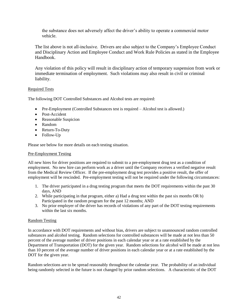the substance does not adversely affect the driver's ability to operate a commercial motor vehicle.

The list above is not all-inclusive. Drivers are also subject to the Company's Employee Conduct and Disciplinary Action and Employee Conduct and Work Rule Policies as stated in the Employee Handbook.

Any violation of this policy will result in disciplinary action of temporary suspension from work or immediate termination of employment. Such violations may also result in civil or criminal liability.

## Required Tests

The following DOT Controlled Substances and Alcohol tests are required:

- Pre-Employment (Controlled Substances test is required Alcohol test is allowed.)
- Post-Accident
- Reasonable Suspicion
- Random
- Return-To-Duty
- Follow-Up

Please see below for more details on each testing situation.

#### Pre-Employment Testing

All new hires for driver positions are required to submit to a pre-employment drug test as a condition of employment. No new hire can perform work as a driver until the Company receives a verified negative result from the Medical Review Officer. If the pre-employment drug test provides a positive result, the offer of employment will be rescinded. Pre-employment testing will not be required under the following circumstances:

- 1. The driver participated in a drug testing program that meets the DOT requirements within the past 30 days, AND
- 2. While participating in that program, either a) Had a drug test within the past six months OR b) Participated in the random program for the past 12 months; AND
- 3. No prior employer of the driver has records of violations of any part of the DOT testing requirements within the last six months.

#### Random Testing

In accordance with DOT requirements and without bias, drivers are subject to unannounced random controlled substances and alcohol testing. Random selections for controlled substances will be made at not less than 50 percent of the average number of driver positions in each calendar year or at a rate established by the Department of Transportation (DOT) for the given year. Random selections for alcohol will be made at not less than 10 percent of the average number of driver positions in each calendar year or at a rate established by the DOT for the given year.

Random selections are to be spread reasonably throughout the calendar year. The probability of an individual being randomly selected in the future is not changed by prior random selections. A characteristic of the DOT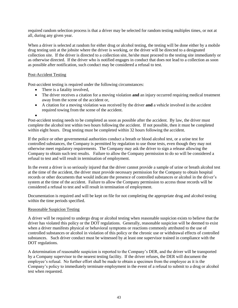required random selection process is that a driver may be selected for random testing multiples times, or not at all, during any given year.

When a driver is selected at random for either drug or alcohol testing, the testing will be done either by a mobile drug testing unit at the jobsite where the driver is working, or the driver will be directed to a designated collection site. If the driver is directed to a collection site, he/she must proceed to the testing site immediately or as otherwise directed. If the driver who is notified engages in conduct that does not lead to a collection as soon as possible after notification, such conduct may be considered a refusal to test.

## Post-Accident Testing

 $\bullet$ 

Post-accident testing is required under the following circumstances:

- There is a fatality involved,
- The driver receives a citation for a moving violation **and** an injury occurred requiring medical treatment away from the scene of the accident or,
- A citation for a moving violation was received by the driver **and** a vehicle involved in the accident required towing from the scene of the accident.

Post-accident testing needs to be completed as soon as possible after the accident. By law, the driver must complete the alcohol test within two hours following the accident. If not possible, then it must be completed within eight hours. Drug testing must be completed within 32 hours following the accident.

If the police or other governmental authorities conduct a breath or blood alcohol test, or a urine test for controlled substances, the Company is permitted by regulation to use those tests, even though they may not otherwise meet regulatory requirements. The Company may ask the driver to sign a release allowing the Company to obtain such test results. Failure to allow the Company permission to do so will be considered a refusal to test and will result in termination of employment.

In the event a driver is so seriously injured that the driver cannot provide a sample of urine or breath alcohol test at the time of the accident, the driver must provide necessary permission for the Company to obtain hospital records or other documents that would indicate the presence of controlled substances or alcohol in the driver's system at the time of the accident. Failure to allow the Company permission to access those records will be considered a refusal to test and will result in termination of employment.

Documentation is required and will be kept on file for not completing the appropriate drug and alcohol testing within the time periods specified.

#### Reasonable Suspicion Testing

A driver will be required to undergo drug or alcohol testing when reasonable suspicion exists to believe that the driver has violated this policy or the DOT regulations. Generally, reasonable suspicion will be deemed to exist when a driver manifests physical or behavioral symptoms or reactions commonly attributed to the use of controlled substances or alcohol in violation of this policy or the chronic use or withdrawal effects of controlled substances. Such driver conduct must be witnessed by at least one supervisor trained in compliance with the DOT regulations.

A determination of reasonable suspicion is reported to the Company's DER, and the driver will be transported by a Company supervisor to the nearest testing facility. If the driver refuses, the DER will document the employee's refusal. No further effort shall be made to obtain a specimen from the employee as it is the Company's policy to immediately terminate employment in the event of a refusal to submit to a drug or alcohol test when requested.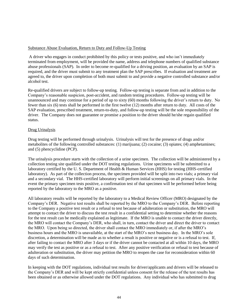#### Substance Abuse Evaluation, Return to Duty and Follow-Up Testing

A driver who engages in conduct prohibited by this policy or tests positive, and who isn't immediately terminated from employment, will be provided the name, address and telephone numbers of qualified substance abuse professionals (SAP). In order to become re-qualified for a driving position, an evaluation by an SAP is required, and the driver must submit to any treatment plan the SAP prescribes. If evaluation and treatment are agreed to, the driver upon completion of both must submit to and provide a negative controlled substance and/or alcohol test.

Re-qualified drivers are subject to follow-up testing. Follow-up testing is separate from and in addition to the Company's reasonable suspicion, post-accident, and random testing procedures. Follow-up testing will be unannounced and may continue for a period of up to sixty (60) months following the driver's return to duty. No fewer than six (6) tests shall be performed in the first twelve (12) months after return to duty. All costs of the SAP evaluation, prescribed treatment, return-to-duty, and follow-up testing will be the sole responsibility of the driver. The Company does not guarantee or promise a position to the driver should he/she regain qualified status.

#### Drug Urinalysis

Drug testing will be performed through urinalysis. Urinalysis will test for the presence of drugs and/or metabolites of the following controlled substances: (1) marijuana; (2) cocaine; (3) opiates; (4) amphetamines; and (5) phencyclidine (PCP).

The urinalysis procedure starts with the collection of a urine specimen. The collection will be administered by a collection testing site qualified under the DOT testing regulations. Urine specimens will be submitted to a laboratory certified by the U. S. Department of Health & Human Services (HHS) for testing (HHS-certified laboratory). As part of the collection process, the specimen provided will be split into two vials; a primary vial and a secondary vial. The HHS-certified laboratory will perform initial screenings on all primary vials. In the event the primary specimen tests positive, a confirmation test of that specimen will be performed before being reported by the laboratory to the MRO as a positive.

All laboratory results will be reported by the laboratory to a Medical Review Officer (MRO) designated by the Company's DER. Negative test results shall be reported by the MRO to the Company's DER. Before reporting to the Company a positive test result or a refusal to test because of adulteration or substitution, the MRO will attempt to contact the driver to discuss the test result in a confidential setting to determine whether the reasons for the test result can be medically explained as legitimate. If the MRO is unable to contact the driver directly, the MRO will contact the Company's DER, who shall, in turn, contact the driver and direct the driver to contact the MRO. Upon being so directed, the driver shall contact the MRO immediately or, if after the MRO's business hours and the MRO is unavailable, at the start of the MRO's next business day. In the MRO's sole discretion, a determination will be made as to whether a result is positive or negative or is a refusal to test. If, after failing to contact the MRO after 3 days or if the driver cannot be contacted at all within 10 days, the MRO may verify the test as positive or as a refusal to test. After any positive verification or refusal to test because of adulteration or substitution, the driver may petition the MRO to reopen the case for reconsideration within 60 days of such determination.

In keeping with the DOT regulations, individual test results for driver/applicants and drivers will be released to the Company's DER and will be kept strictly confidential unless consent for the release of the test results has been obtained or as otherwise allowed under the DOT regulations. Any individual who has submitted to drug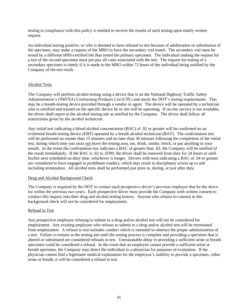testing in compliance with this policy is entitled to receive the results of such testing upon timely written request.

An individual testing positive, or who is deemed to have refused to test because of adulteration or substitution of the specimen, may make a request of the MRO to have the secondary vial tested. The secondary vial must be tested by a different HHS-certified lab than tested the primary specimen. The individual making the request for a test of the second specimen must pre-pay all costs associated with the test. The request for testing of a secondary specimen is timely if it is made to the MRO within 72 hours of the individual being notified by the Company of the test result.

## Alcohol Tests

The Company will perform alcohol testing using a device that is on the National Highway Traffic Safety Administration's (NHTSA) Conforming Products List (CPL) and meets the DOT's testing requirements. This may be a breath-testing device provided through a vendor or agent. The device will be operated by a technician who is certified and trained on the specific device he or she will be operating. If on-site service is not available, the driver shall report to the alcohol-testing site as notified by the Company. The driver shall follow all instructions given by the alcohol technician.

Any initial test indicating a blood alcohol concentration (BAC) of .02 or greater will be confirmed on an evidential breath testing device (EBT) operated by a breath alcohol technician (BAT). The confirmation test will be performed no sooner than 15 minutes and no later than 30 minutes following the completion of the initial test, during which time you must not leave the testing area, eat, drink, smoke, belch, or put anything in your mouth. In the event the confirmation test indicates a BAC of greater than .02, the Company will be notified of the result immediately. If the BAC is .02 to .0399, the driver shall be removed from duty for 24 hours or until his/her next scheduled on-duty time, whichever is longer. Drivers with tests indicating a BAC of .04 or greater are considered to have engaged in prohibited conduct, which may result in disciplinary action up to and including termination. All alcohol tests shall be performed just prior to, during, or just after duty.

#### Drug and Alcohol Background Check

The Company is required by the DOT to contact each prospective driver's previous employer that he/she drove for within the previous two years. Each prospective driver must provide the Company with written consent to conduct this inquiry into their drug and alcohol testing history. Anyone who refuses to consent to this background check will not be considered for employment.

#### Refusal to Test

Any prospective employee refusing to submit to a drug and/or alcohol test will not be considered for employment. Any existing employee who refuses to submit to a drug and/or alcohol test will be terminated from employment. A refusal to test includes conduct which is intended to obstruct the proper administration of a test. Failure to remain at the testing site until the testing process is complete and providing a specimen that is altered or substituted are considered refusals to test. Unreasonable delay in providing a sufficient urine or breath specimen could be considered a refusal. In the event that an employee cannot provide a sufficient urine or breath specimen, the Company may direct the individual to a physician for purposes of evaluation. If the physician cannot find a legitimate medical explanation for the employee's inability to provide a specimen, either urine or breath, it will be considered a refusal to test.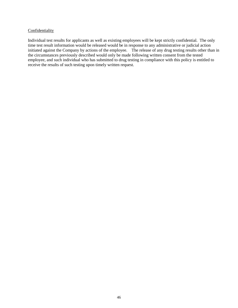#### **Confidentiality**

Individual test results for applicants as well as existing employees will be kept strictly confidential. The only time test result information would be released would be in response to any administrative or judicial action initiated against the Company by actions of the employee. The release of any drug testing results other than in the circumstances previously described would only be made following written consent from the tested employee, and such individual who has submitted to drug testing in compliance with this policy is entitled to receive the results of such testing upon timely written request.